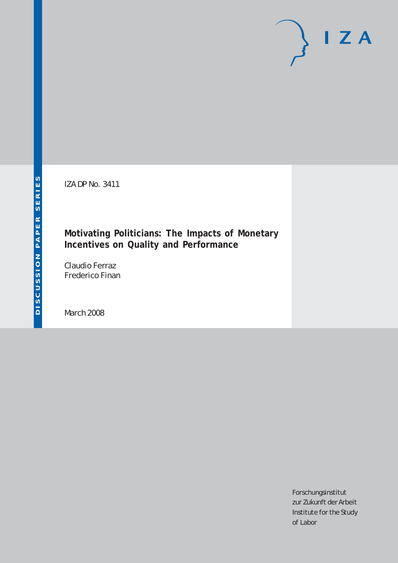IZA DP No. 3411

## **Motivating Politicians: The Impacts of Monetary Incentives on Quality and Performance**

Claudio Ferraz Frederico Finan

March 2008

Forschungsinstitut zur Zukunft der Arbeit Institute for the Study of Labor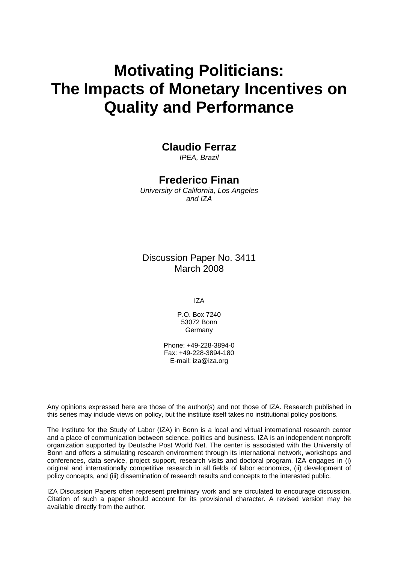# **Motivating Politicians: The Impacts of Monetary Incentives on Quality and Performance**

## **Claudio Ferraz**

*IPEA, Brazil* 

## **Frederico Finan**

*University of California, Los Angeles and IZA* 

Discussion Paper No. 3411 March 2008

IZA

P.O. Box 7240 53072 Bonn Germany

Phone: +49-228-3894-0 Fax: +49-228-3894-180 E-mail: [iza@iza.org](mailto:iza@iza.org)

Any opinions expressed here are those of the author(s) and not those of IZA. Research published in this series may include views on policy, but the institute itself takes no institutional policy positions.

The Institute for the Study of Labor (IZA) in Bonn is a local and virtual international research center and a place of communication between science, politics and business. IZA is an independent nonprofit organization supported by Deutsche Post World Net. The center is associated with the University of Bonn and offers a stimulating research environment through its international network, workshops and conferences, data service, project support, research visits and doctoral program. IZA engages in (i) original and internationally competitive research in all fields of labor economics, (ii) development of policy concepts, and (iii) dissemination of research results and concepts to the interested public.

IZA Discussion Papers often represent preliminary work and are circulated to encourage discussion. Citation of such a paper should account for its provisional character. A revised version may be available directly from the author.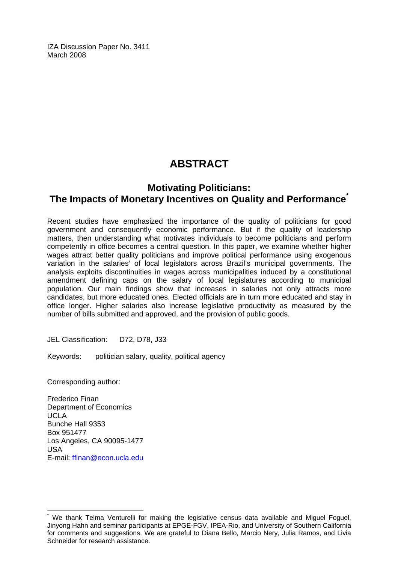IZA Discussion Paper No. 3411 March 2008

## **ABSTRACT**

## **Motivating Politicians: The Impacts of Monetary Incentives on Quality and Performance[\\*](#page-2-0)**

Recent studies have emphasized the importance of the quality of politicians for good government and consequently economic performance. But if the quality of leadership matters, then understanding what motivates individuals to become politicians and perform competently in office becomes a central question. In this paper, we examine whether higher wages attract better quality politicians and improve political performance using exogenous variation in the salaries' of local legislators across Brazil's municipal governments. The analysis exploits discontinuities in wages across municipalities induced by a constitutional amendment defining caps on the salary of local legislatures according to municipal population. Our main findings show that increases in salaries not only attracts more candidates, but more educated ones. Elected officials are in turn more educated and stay in office longer. Higher salaries also increase legislative productivity as measured by the number of bills submitted and approved, and the provision of public goods.

JEL Classification: D72, D78, J33

Keywords: politician salary, quality, political agency

Corresponding author:

 $\overline{a}$ 

Frederico Finan Department of Economics UCLA Bunche Hall 9353 Box 951477 Los Angeles, CA 90095-1477 USA E-mail: [ffinan@econ.ucla.edu](mailto:ffinan@econ.ucla.edu)

<span id="page-2-0"></span><sup>\*</sup> We thank Telma Venturelli for making the legislative census data available and Miguel Foguel, Jinyong Hahn and seminar participants at EPGE-FGV, IPEA-Rio, and University of Southern California for comments and suggestions. We are grateful to Diana Bello, Marcio Nery, Julia Ramos, and Livia Schneider for research assistance.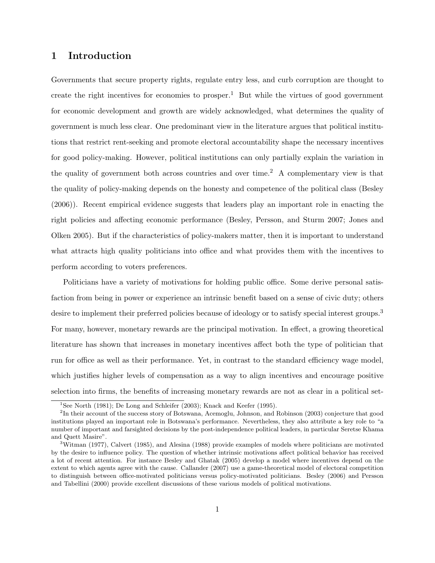## 1 Introduction

Governments that secure property rights, regulate entry less, and curb corruption are thought to create the right incentives for economies to prosper.<sup>1</sup> But while the virtues of good government for economic development and growth are widely acknowledged, what determines the quality of government is much less clear. One predominant view in the literature argues that political institutions that restrict rent-seeking and promote electoral accountability shape the necessary incentives for good policy-making. However, political institutions can only partially explain the variation in the quality of government both across countries and over time.<sup>2</sup> A complementary view is that the quality of policy-making depends on the honesty and competence of the political class (Besley (2006)). Recent empirical evidence suggests that leaders play an important role in enacting the right policies and affecting economic performance (Besley, Persson, and Sturm 2007; Jones and Olken 2005). But if the characteristics of policy-makers matter, then it is important to understand what attracts high quality politicians into office and what provides them with the incentives to perform according to voters preferences.

Politicians have a variety of motivations for holding public office. Some derive personal satisfaction from being in power or experience an intrinsic benefit based on a sense of civic duty; others desire to implement their preferred policies because of ideology or to satisfy special interest groups.<sup>3</sup> For many, however, monetary rewards are the principal motivation. In effect, a growing theoretical literature has shown that increases in monetary incentives affect both the type of politician that run for office as well as their performance. Yet, in contrast to the standard efficiency wage model, which justifies higher levels of compensation as a way to align incentives and encourage positive selection into firms, the benefits of increasing monetary rewards are not as clear in a political set-

<sup>&</sup>lt;sup>1</sup>See North (1981); De Long and Schleifer (2003); Knack and Keefer (1995).

<sup>&</sup>lt;sup>2</sup>In their account of the success story of Botswana, Acemoglu, Johnson, and Robinson (2003) conjecture that good institutions played an important role in Botswana's performance. Nevertheless, they also attribute a key role to "a number of important and farsighted decisions by the post-independence political leaders, in particular Seretse Khama and Quett Masire".

<sup>3</sup>Witman (1977), Calvert (1985), and Alesina (1988) provide examples of models where politicians are motivated by the desire to influence policy. The question of whether intrinsic motivations affect political behavior has received a lot of recent attention. For instance Besley and Ghatak (2005) develop a model where incentives depend on the extent to which agents agree with the cause. Callander (2007) use a game-theoretical model of electoral competition to distinguish between office-motivated politicians versus policy-motivated politicians. Besley (2006) and Persson and Tabellini (2000) provide excellent discussions of these various models of political motivations.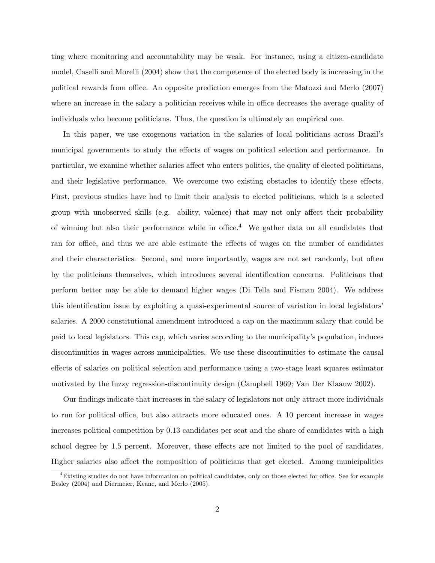ting where monitoring and accountability may be weak. For instance, using a citizen-candidate model, Caselli and Morelli (2004) show that the competence of the elected body is increasing in the political rewards from office. An opposite prediction emerges from the Matozzi and Merlo (2007) where an increase in the salary a politician receives while in office decreases the average quality of individuals who become politicians. Thus, the question is ultimately an empirical one.

In this paper, we use exogenous variation in the salaries of local politicians across Brazil's municipal governments to study the effects of wages on political selection and performance. In particular, we examine whether salaries affect who enters politics, the quality of elected politicians, and their legislative performance. We overcome two existing obstacles to identify these effects. First, previous studies have had to limit their analysis to elected politicians, which is a selected group with unobserved skills (e.g. ability, valence) that may not only affect their probability of winning but also their performance while in office.<sup>4</sup> We gather data on all candidates that ran for office, and thus we are able estimate the effects of wages on the number of candidates and their characteristics. Second, and more importantly, wages are not set randomly, but often by the politicians themselves, which introduces several identification concerns. Politicians that perform better may be able to demand higher wages (Di Tella and Fisman 2004). We address this identification issue by exploiting a quasi-experimental source of variation in local legislators' salaries. A 2000 constitutional amendment introduced a cap on the maximum salary that could be paid to local legislators. This cap, which varies according to the municipality's population, induces discontinuities in wages across municipalities. We use these discontinuities to estimate the causal effects of salaries on political selection and performance using a two-stage least squares estimator motivated by the fuzzy regression-discontinuity design (Campbell 1969; Van Der Klaauw 2002).

Our findings indicate that increases in the salary of legislators not only attract more individuals to run for political office, but also attracts more educated ones. A 10 percent increase in wages increases political competition by 0.13 candidates per seat and the share of candidates with a high school degree by 1.5 percent. Moreover, these effects are not limited to the pool of candidates. Higher salaries also affect the composition of politicians that get elected. Among municipalities

<sup>4</sup>Existing studies do not have information on political candidates, only on those elected for office. See for example Besley (2004) and Diermeier, Keane, and Merlo (2005).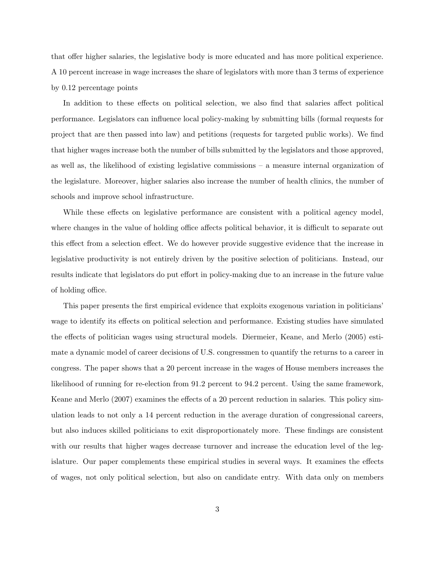that offer higher salaries, the legislative body is more educated and has more political experience. A 10 percent increase in wage increases the share of legislators with more than 3 terms of experience by 0.12 percentage points

In addition to these effects on political selection, we also find that salaries affect political performance. Legislators can influence local policy-making by submitting bills (formal requests for project that are then passed into law) and petitions (requests for targeted public works). We find that higher wages increase both the number of bills submitted by the legislators and those approved, as well as, the likelihood of existing legislative commissions – a measure internal organization of the legislature. Moreover, higher salaries also increase the number of health clinics, the number of schools and improve school infrastructure.

While these effects on legislative performance are consistent with a political agency model, where changes in the value of holding office affects political behavior, it is difficult to separate out this effect from a selection effect. We do however provide suggestive evidence that the increase in legislative productivity is not entirely driven by the positive selection of politicians. Instead, our results indicate that legislators do put effort in policy-making due to an increase in the future value of holding office.

This paper presents the first empirical evidence that exploits exogenous variation in politicians' wage to identify its effects on political selection and performance. Existing studies have simulated the effects of politician wages using structural models. Diermeier, Keane, and Merlo (2005) estimate a dynamic model of career decisions of U.S. congressmen to quantify the returns to a career in congress. The paper shows that a 20 percent increase in the wages of House members increases the likelihood of running for re-election from 91.2 percent to 94.2 percent. Using the same framework, Keane and Merlo (2007) examines the effects of a 20 percent reduction in salaries. This policy simulation leads to not only a 14 percent reduction in the average duration of congressional careers, but also induces skilled politicians to exit disproportionately more. These findings are consistent with our results that higher wages decrease turnover and increase the education level of the legislature. Our paper complements these empirical studies in several ways. It examines the effects of wages, not only political selection, but also on candidate entry. With data only on members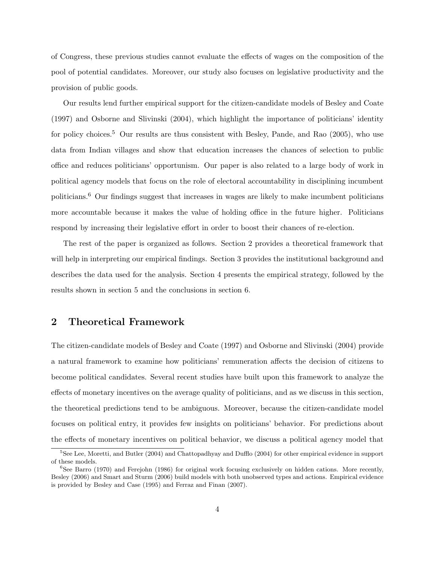of Congress, these previous studies cannot evaluate the effects of wages on the composition of the pool of potential candidates. Moreover, our study also focuses on legislative productivity and the provision of public goods.

Our results lend further empirical support for the citizen-candidate models of Besley and Coate (1997) and Osborne and Slivinski (2004), which highlight the importance of politicians' identity for policy choices.<sup>5</sup> Our results are thus consistent with Besley, Pande, and Rao (2005), who use data from Indian villages and show that education increases the chances of selection to public office and reduces politicians' opportunism. Our paper is also related to a large body of work in political agency models that focus on the role of electoral accountability in disciplining incumbent politicians.<sup>6</sup> Our findings suggest that increases in wages are likely to make incumbent politicians more accountable because it makes the value of holding office in the future higher. Politicians respond by increasing their legislative effort in order to boost their chances of re-election.

The rest of the paper is organized as follows. Section 2 provides a theoretical framework that will help in interpreting our empirical findings. Section 3 provides the institutional background and describes the data used for the analysis. Section 4 presents the empirical strategy, followed by the results shown in section 5 and the conclusions in section 6.

### 2 Theoretical Framework

The citizen-candidate models of Besley and Coate (1997) and Osborne and Slivinski (2004) provide a natural framework to examine how politicians' remuneration affects the decision of citizens to become political candidates. Several recent studies have built upon this framework to analyze the effects of monetary incentives on the average quality of politicians, and as we discuss in this section, the theoretical predictions tend to be ambiguous. Moreover, because the citizen-candidate model focuses on political entry, it provides few insights on politicians' behavior. For predictions about the effects of monetary incentives on political behavior, we discuss a political agency model that

<sup>&</sup>lt;sup>5</sup>See Lee, Moretti, and Butler (2004) and Chattopadhyay and Dufflo (2004) for other empirical evidence in support of these models.

<sup>6</sup>See Barro (1970) and Ferejohn (1986) for original work focusing exclusively on hidden cations. More recently, Besley (2006) and Smart and Sturm (2006) build models with both unobserved types and actions. Empirical evidence is provided by Besley and Case (1995) and Ferraz and Finan (2007).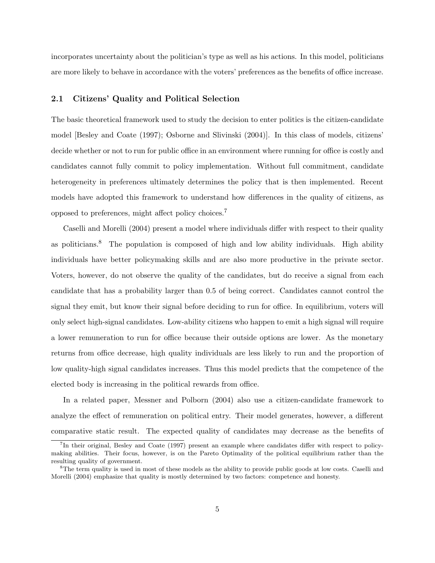incorporates uncertainty about the politician's type as well as his actions. In this model, politicians are more likely to behave in accordance with the voters' preferences as the benefits of office increase.

#### 2.1 Citizens' Quality and Political Selection

The basic theoretical framework used to study the decision to enter politics is the citizen-candidate model [Besley and Coate (1997); Osborne and Slivinski (2004)]. In this class of models, citizens' decide whether or not to run for public office in an environment where running for office is costly and candidates cannot fully commit to policy implementation. Without full commitment, candidate heterogeneity in preferences ultimately determines the policy that is then implemented. Recent models have adopted this framework to understand how differences in the quality of citizens, as opposed to preferences, might affect policy choices.<sup>7</sup>

Caselli and Morelli (2004) present a model where individuals differ with respect to their quality as politicians.<sup>8</sup> The population is composed of high and low ability individuals. High ability individuals have better policymaking skills and are also more productive in the private sector. Voters, however, do not observe the quality of the candidates, but do receive a signal from each candidate that has a probability larger than 0.5 of being correct. Candidates cannot control the signal they emit, but know their signal before deciding to run for office. In equilibrium, voters will only select high-signal candidates. Low-ability citizens who happen to emit a high signal will require a lower remuneration to run for office because their outside options are lower. As the monetary returns from office decrease, high quality individuals are less likely to run and the proportion of low quality-high signal candidates increases. Thus this model predicts that the competence of the elected body is increasing in the political rewards from office.

In a related paper, Messner and Polborn (2004) also use a citizen-candidate framework to analyze the effect of remuneration on political entry. Their model generates, however, a different comparative static result. The expected quality of candidates may decrease as the benefits of

<sup>&</sup>lt;sup>7</sup>In their original, Besley and Coate (1997) present an example where candidates differ with respect to policymaking abilities. Their focus, however, is on the Pareto Optimality of the political equilibrium rather than the resulting quality of government.

<sup>&</sup>lt;sup>8</sup>The term quality is used in most of these models as the ability to provide public goods at low costs. Caselli and Morelli (2004) emphasize that quality is mostly determined by two factors: competence and honesty.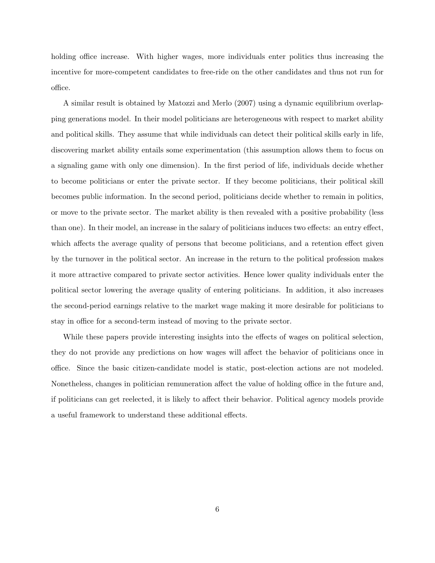holding office increase. With higher wages, more individuals enter politics thus increasing the incentive for more-competent candidates to free-ride on the other candidates and thus not run for office.

A similar result is obtained by Matozzi and Merlo (2007) using a dynamic equilibrium overlapping generations model. In their model politicians are heterogeneous with respect to market ability and political skills. They assume that while individuals can detect their political skills early in life, discovering market ability entails some experimentation (this assumption allows them to focus on a signaling game with only one dimension). In the first period of life, individuals decide whether to become politicians or enter the private sector. If they become politicians, their political skill becomes public information. In the second period, politicians decide whether to remain in politics, or move to the private sector. The market ability is then revealed with a positive probability (less than one). In their model, an increase in the salary of politicians induces two effects: an entry effect, which affects the average quality of persons that become politicians, and a retention effect given by the turnover in the political sector. An increase in the return to the political profession makes it more attractive compared to private sector activities. Hence lower quality individuals enter the political sector lowering the average quality of entering politicians. In addition, it also increases the second-period earnings relative to the market wage making it more desirable for politicians to stay in office for a second-term instead of moving to the private sector.

While these papers provide interesting insights into the effects of wages on political selection, they do not provide any predictions on how wages will affect the behavior of politicians once in office. Since the basic citizen-candidate model is static, post-election actions are not modeled. Nonetheless, changes in politician remuneration affect the value of holding office in the future and, if politicians can get reelected, it is likely to affect their behavior. Political agency models provide a useful framework to understand these additional effects.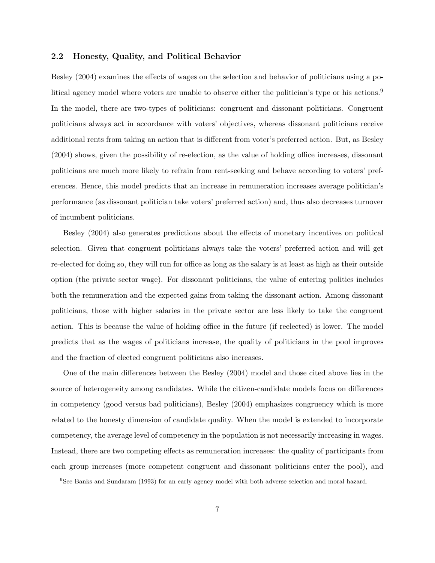#### 2.2 Honesty, Quality, and Political Behavior

Besley (2004) examines the effects of wages on the selection and behavior of politicians using a political agency model where voters are unable to observe either the politician's type or his actions.<sup>9</sup> In the model, there are two-types of politicians: congruent and dissonant politicians. Congruent politicians always act in accordance with voters' objectives, whereas dissonant politicians receive additional rents from taking an action that is different from voter's preferred action. But, as Besley (2004) shows, given the possibility of re-election, as the value of holding office increases, dissonant politicians are much more likely to refrain from rent-seeking and behave according to voters' preferences. Hence, this model predicts that an increase in remuneration increases average politician's performance (as dissonant politician take voters' preferred action) and, thus also decreases turnover of incumbent politicians.

Besley (2004) also generates predictions about the effects of monetary incentives on political selection. Given that congruent politicians always take the voters' preferred action and will get re-elected for doing so, they will run for office as long as the salary is at least as high as their outside option (the private sector wage). For dissonant politicians, the value of entering politics includes both the remuneration and the expected gains from taking the dissonant action. Among dissonant politicians, those with higher salaries in the private sector are less likely to take the congruent action. This is because the value of holding office in the future (if reelected) is lower. The model predicts that as the wages of politicians increase, the quality of politicians in the pool improves and the fraction of elected congruent politicians also increases.

One of the main differences between the Besley (2004) model and those cited above lies in the source of heterogeneity among candidates. While the citizen-candidate models focus on differences in competency (good versus bad politicians), Besley (2004) emphasizes congruency which is more related to the honesty dimension of candidate quality. When the model is extended to incorporate competency, the average level of competency in the population is not necessarily increasing in wages. Instead, there are two competing effects as remuneration increases: the quality of participants from each group increases (more competent congruent and dissonant politicians enter the pool), and

<sup>9</sup>See Banks and Sundaram (1993) for an early agency model with both adverse selection and moral hazard.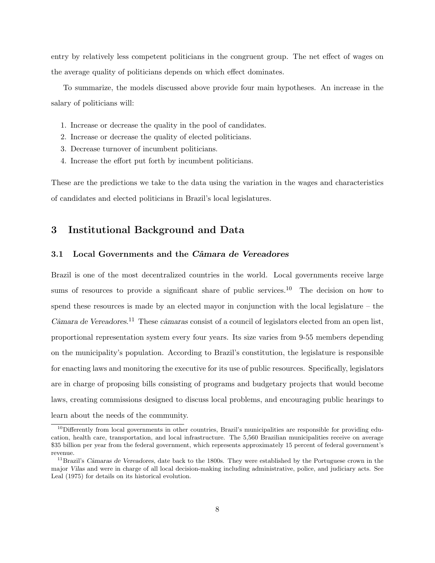entry by relatively less competent politicians in the congruent group. The net effect of wages on the average quality of politicians depends on which effect dominates.

To summarize, the models discussed above provide four main hypotheses. An increase in the salary of politicians will:

- 1. Increase or decrease the quality in the pool of candidates.
- 2. Increase or decrease the quality of elected politicians.
- 3. Decrease turnover of incumbent politicians.
- 4. Increase the effort put forth by incumbent politicians.

These are the predictions we take to the data using the variation in the wages and characteristics of candidates and elected politicians in Brazil's local legislatures.

## 3 Institutional Background and Data

#### 3.1 Local Governments and the Câmara de Vereadores

Brazil is one of the most decentralized countries in the world. Local governments receive large sums of resources to provide a significant share of public services.<sup>10</sup> The decision on how to spend these resources is made by an elected mayor in conjunction with the local legislature – the  $C\hat{a}$ mara de Vereadores.<sup>11</sup> These câmaras consist of a council of legislators elected from an open list, proportional representation system every four years. Its size varies from 9-55 members depending on the municipality's population. According to Brazil's constitution, the legislature is responsible for enacting laws and monitoring the executive for its use of public resources. Specifically, legislators are in charge of proposing bills consisting of programs and budgetary projects that would become laws, creating commissions designed to discuss local problems, and encouraging public hearings to learn about the needs of the community.

<sup>&</sup>lt;sup>10</sup>Differently from local governments in other countries, Brazil's municipalities are responsible for providing education, health care, transportation, and local infrastructure. The 5,560 Brazilian municipalities receive on average \$35 billion per year from the federal government, which represents approximately 15 percent of federal government's revenue.

 $11$ Brazil's Câmaras de Vereadores, date back to the 1800s. They were established by the Portuguese crown in the major Vilas and were in charge of all local decision-making including administrative, police, and judiciary acts. See Leal (1975) for details on its historical evolution.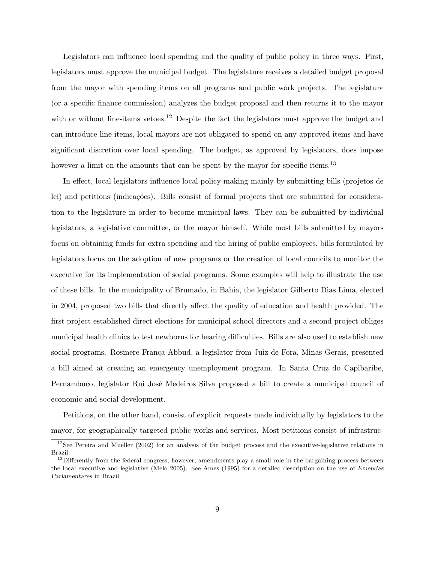Legislators can influence local spending and the quality of public policy in three ways. First, legislators must approve the municipal budget. The legislature receives a detailed budget proposal from the mayor with spending items on all programs and public work projects. The legislature (or a specific finance commission) analyzes the budget proposal and then returns it to the mayor with or without line-items vetoes.<sup>12</sup> Despite the fact the legislators must approve the budget and can introduce line items, local mayors are not obligated to spend on any approved items and have significant discretion over local spending. The budget, as approved by legislators, does impose however a limit on the amounts that can be spent by the mayor for specific items.<sup>13</sup>

In effect, local legislators influence local policy-making mainly by submitting bills (projetos de lei) and petitions (indicações). Bills consist of formal projects that are submitted for consideration to the legislature in order to become municipal laws. They can be submitted by individual legislators, a legislative committee, or the mayor himself. While most bills submitted by mayors focus on obtaining funds for extra spending and the hiring of public employees, bills formulated by legislators focus on the adoption of new programs or the creation of local councils to monitor the executive for its implementation of social programs. Some examples will help to illustrate the use of these bills. In the municipality of Brumado, in Bahia, the legislator Gilberto Dias Lima, elected in 2004, proposed two bills that directly affect the quality of education and health provided. The first project established direct elections for municipal school directors and a second project obliges municipal health clinics to test newborns for hearing difficulties. Bills are also used to establish new social programs. Rosinere França Abbud, a legislator from Juiz de Fora, Minas Gerais, presented a bill aimed at creating an emergency unemployment program. In Santa Cruz do Capibaribe, Pernambuco, legislator Rui José Medeiros Silva proposed a bill to create a municipal council of economic and social development.

Petitions, on the other hand, consist of explicit requests made individually by legislators to the mayor, for geographically targeted public works and services. Most petitions consist of infrastruc-

<sup>&</sup>lt;sup>12</sup>See Pereira and Mueller (2002) for an analysis of the budget process and the executive-legislative relations in Brazil.

<sup>&</sup>lt;sup>13</sup>Differently from the federal congress, however, amendments play a small role in the bargaining process between the local executive and legislative (Melo 2005). See Ames (1995) for a detailed description on the use of Emendas Parlamentares in Brazil.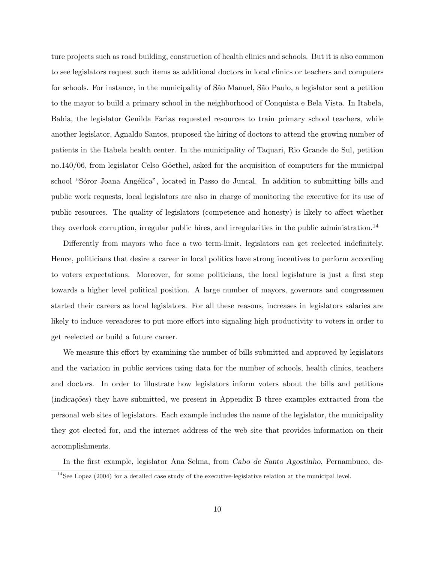ture projects such as road building, construction of health clinics and schools. But it is also common to see legislators request such items as additional doctors in local clinics or teachers and computers for schools. For instance, in the municipality of S˜ao Manuel, S˜ao Paulo, a legislator sent a petition to the mayor to build a primary school in the neighborhood of Conquista e Bela Vista. In Itabela, Bahia, the legislator Genilda Farias requested resources to train primary school teachers, while another legislator, Agnaldo Santos, proposed the hiring of doctors to attend the growing number of patients in the Itabela health center. In the municipality of Taquari, Rio Grande do Sul, petition no.140/06, from legislator Celso Göethel, asked for the acquisition of computers for the municipal school "Sóror Joana Angélica", located in Passo do Juncal. In addition to submitting bills and public work requests, local legislators are also in charge of monitoring the executive for its use of public resources. The quality of legislators (competence and honesty) is likely to affect whether they overlook corruption, irregular public hires, and irregularities in the public administration.<sup>14</sup>

Differently from mayors who face a two term-limit, legislators can get reelected indefinitely. Hence, politicians that desire a career in local politics have strong incentives to perform according to voters expectations. Moreover, for some politicians, the local legislature is just a first step towards a higher level political position. A large number of mayors, governors and congressmen started their careers as local legislators. For all these reasons, increases in legislators salaries are likely to induce vereadores to put more effort into signaling high productivity to voters in order to get reelected or build a future career.

We measure this effort by examining the number of bills submitted and approved by legislators and the variation in public services using data for the number of schools, health clinics, teachers and doctors. In order to illustrate how legislators inform voters about the bills and petitions (indicações) they have submitted, we present in Appendix B three examples extracted from the personal web sites of legislators. Each example includes the name of the legislator, the municipality they got elected for, and the internet address of the web site that provides information on their accomplishments.

In the first example, legislator Ana Selma, from Cabo de Santo Agostinho, Pernambuco, de-

 $14$ See Lopez (2004) for a detailed case study of the executive-legislative relation at the municipal level.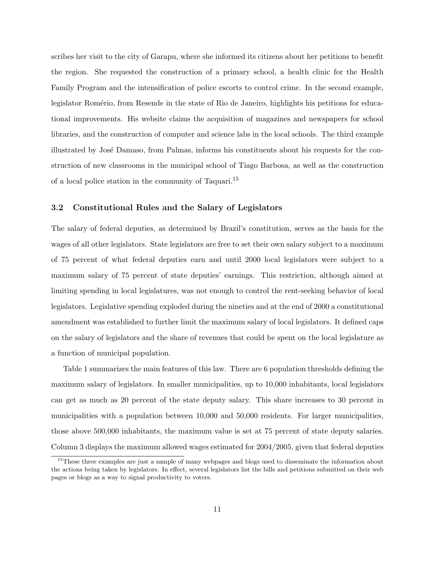scribes her visit to the city of Garapu, where she informed its citizens about her petitions to benefit the region. She requested the construction of a primary school, a health clinic for the Health Family Program and the intensification of police escorts to control crime. In the second example, legislator Romério, from Resende in the state of Rio de Janeiro, highlights his petitions for educational improvements. His website claims the acquisition of magazines and newspapers for school libraries, and the construction of computer and science labs in the local schools. The third example illustrated by José Damaso, from Palmas, informs his constituents about his requests for the construction of new classrooms in the municipal school of Tiago Barbosa, as well as the construction of a local police station in the community of Taquari.<sup>15</sup>

#### 3.2 Constitutional Rules and the Salary of Legislators

The salary of federal deputies, as determined by Brazil's constitution, serves as the basis for the wages of all other legislators. State legislators are free to set their own salary subject to a maximum of 75 percent of what federal deputies earn and until 2000 local legislators were subject to a maximum salary of 75 percent of state deputies' earnings. This restriction, although aimed at limiting spending in local legislatures, was not enough to control the rent-seeking behavior of local legislators. Legislative spending exploded during the nineties and at the end of 2000 a constitutional amendment was established to further limit the maximum salary of local legislators. It defined caps on the salary of legislators and the share of revenues that could be spent on the local legislature as a function of municipal population.

Table 1 summarizes the main features of this law. There are 6 population thresholds defining the maximum salary of legislators. In smaller municipalities, up to 10,000 inhabitants, local legislators can get as much as 20 percent of the state deputy salary. This share increases to 30 percent in municipalities with a population between 10,000 and 50,000 residents. For larger municipalities, those above 500,000 inhabitants, the maximum value is set at 75 percent of state deputy salaries. Column 3 displays the maximum allowed wages estimated for 2004/2005, given that federal deputies

<sup>&</sup>lt;sup>15</sup>These three examples are just a sample of many webpages and blogs used to disseminate the information about the actions being taken by legislators. In effect, several legislators list the bills and petitions submitted on their web pages or blogs as a way to signal productivity to voters.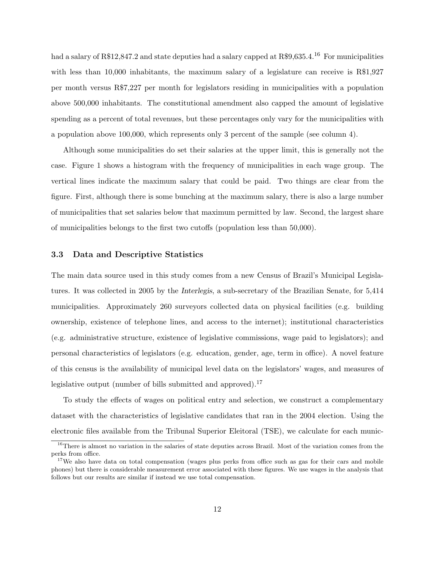had a salary of R\$12,847.2 and state deputies had a salary capped at R\$9,635.4.<sup>16</sup> For municipalities with less than 10,000 inhabitants, the maximum salary of a legislature can receive is R\$1,927 per month versus R\$7,227 per month for legislators residing in municipalities with a population above 500,000 inhabitants. The constitutional amendment also capped the amount of legislative spending as a percent of total revenues, but these percentages only vary for the municipalities with a population above 100,000, which represents only 3 percent of the sample (see column 4).

Although some municipalities do set their salaries at the upper limit, this is generally not the case. Figure 1 shows a histogram with the frequency of municipalities in each wage group. The vertical lines indicate the maximum salary that could be paid. Two things are clear from the figure. First, although there is some bunching at the maximum salary, there is also a large number of municipalities that set salaries below that maximum permitted by law. Second, the largest share of municipalities belongs to the first two cutoffs (population less than 50,000).

#### 3.3 Data and Descriptive Statistics

The main data source used in this study comes from a new Census of Brazil's Municipal Legislatures. It was collected in 2005 by the Interlegis, a sub-secretary of the Brazilian Senate, for 5,414 municipalities. Approximately 260 surveyors collected data on physical facilities (e.g. building ownership, existence of telephone lines, and access to the internet); institutional characteristics (e.g. administrative structure, existence of legislative commissions, wage paid to legislators); and personal characteristics of legislators (e.g. education, gender, age, term in office). A novel feature of this census is the availability of municipal level data on the legislators' wages, and measures of legislative output (number of bills submitted and approved).<sup>17</sup>

To study the effects of wages on political entry and selection, we construct a complementary dataset with the characteristics of legislative candidates that ran in the 2004 election. Using the electronic files available from the Tribunal Superior Eleitoral (TSE), we calculate for each munic-

<sup>&</sup>lt;sup>16</sup>There is almost no variation in the salaries of state deputies across Brazil. Most of the variation comes from the perks from office.

<sup>&</sup>lt;sup>17</sup>We also have data on total compensation (wages plus perks from office such as gas for their cars and mobile phones) but there is considerable measurement error associated with these figures. We use wages in the analysis that follows but our results are similar if instead we use total compensation.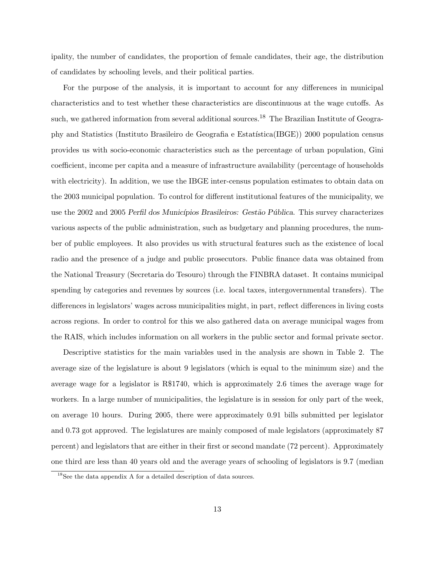ipality, the number of candidates, the proportion of female candidates, their age, the distribution of candidates by schooling levels, and their political parties.

For the purpose of the analysis, it is important to account for any differences in municipal characteristics and to test whether these characteristics are discontinuous at the wage cutoffs. As such, we gathered information from several additional sources.<sup>18</sup> The Brazilian Institute of Geography and Statistics (Instituto Brasileiro de Geografia e Estat´ıstica(IBGE)) 2000 population census provides us with socio-economic characteristics such as the percentage of urban population, Gini coefficient, income per capita and a measure of infrastructure availability (percentage of households with electricity). In addition, we use the IBGE inter-census population estimates to obtain data on the 2003 municipal population. To control for different institutional features of the municipality, we use the 2002 and 2005 Perfil dos Municípios Brasileiros: Gestão Pública. This survey characterizes various aspects of the public administration, such as budgetary and planning procedures, the number of public employees. It also provides us with structural features such as the existence of local radio and the presence of a judge and public prosecutors. Public finance data was obtained from the National Treasury (Secretaria do Tesouro) through the FINBRA dataset. It contains municipal spending by categories and revenues by sources (i.e. local taxes, intergovernmental transfers). The differences in legislators' wages across municipalities might, in part, reflect differences in living costs across regions. In order to control for this we also gathered data on average municipal wages from the RAIS, which includes information on all workers in the public sector and formal private sector.

Descriptive statistics for the main variables used in the analysis are shown in Table 2. The average size of the legislature is about 9 legislators (which is equal to the minimum size) and the average wage for a legislator is R\$1740, which is approximately 2.6 times the average wage for workers. In a large number of municipalities, the legislature is in session for only part of the week, on average 10 hours. During 2005, there were approximately 0.91 bills submitted per legislator and 0.73 got approved. The legislatures are mainly composed of male legislators (approximately 87 percent) and legislators that are either in their first or second mandate (72 percent). Approximately one third are less than 40 years old and the average years of schooling of legislators is 9.7 (median

<sup>18</sup>See the data appendix A for a detailed description of data sources.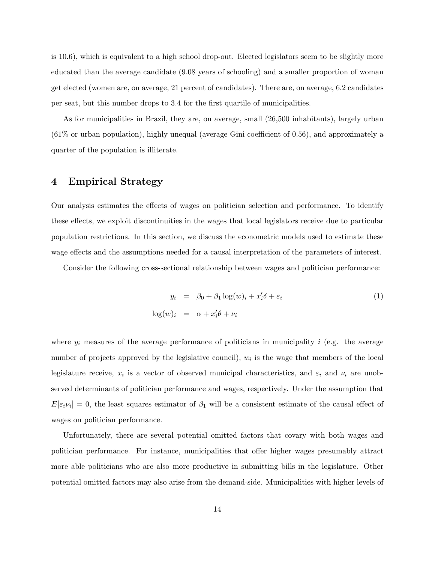is 10.6), which is equivalent to a high school drop-out. Elected legislators seem to be slightly more educated than the average candidate (9.08 years of schooling) and a smaller proportion of woman get elected (women are, on average, 21 percent of candidates). There are, on average, 6.2 candidates per seat, but this number drops to 3.4 for the first quartile of municipalities.

As for municipalities in Brazil, they are, on average, small (26,500 inhabitants), largely urban (61% or urban population), highly unequal (average Gini coefficient of 0.56), and approximately a quarter of the population is illiterate.

## 4 Empirical Strategy

Our analysis estimates the effects of wages on politician selection and performance. To identify these effects, we exploit discontinuities in the wages that local legislators receive due to particular population restrictions. In this section, we discuss the econometric models used to estimate these wage effects and the assumptions needed for a causal interpretation of the parameters of interest.

Consider the following cross-sectional relationship between wages and politician performance:

$$
y_i = \beta_0 + \beta_1 \log(w)_i + x_i' \delta + \varepsilon_i
$$
  

$$
\log(w)_i = \alpha + x_i' \theta + \nu_i
$$
 (1)

where  $y_i$  measures of the average performance of politicians in municipality i (e.g. the average number of projects approved by the legislative council),  $w_i$  is the wage that members of the local legislature receive,  $x_i$  is a vector of observed municipal characteristics, and  $\varepsilon_i$  and  $\nu_i$  are unobserved determinants of politician performance and wages, respectively. Under the assumption that  $E[\epsilon_i \nu_i] = 0$ , the least squares estimator of  $\beta_1$  will be a consistent estimate of the causal effect of wages on politician performance.

Unfortunately, there are several potential omitted factors that covary with both wages and politician performance. For instance, municipalities that offer higher wages presumably attract more able politicians who are also more productive in submitting bills in the legislature. Other potential omitted factors may also arise from the demand-side. Municipalities with higher levels of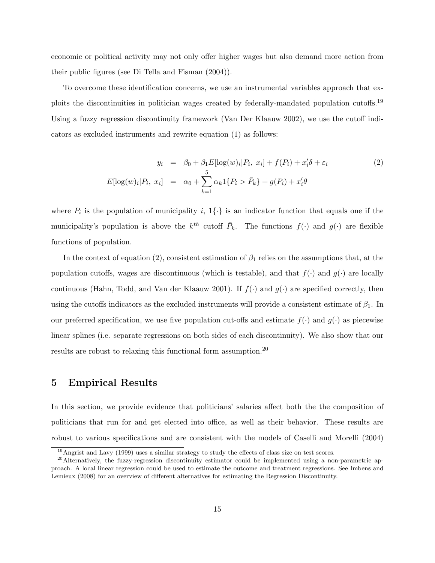economic or political activity may not only offer higher wages but also demand more action from their public figures (see Di Tella and Fisman (2004)).

To overcome these identification concerns, we use an instrumental variables approach that exploits the discontinuities in politician wages created by federally-mandated population cutoffs.<sup>19</sup> Using a fuzzy regression discontinuity framework (Van Der Klaauw 2002), we use the cutoff indicators as excluded instruments and rewrite equation (1) as follows:

$$
y_i = \beta_0 + \beta_1 E[\log(w)_i | P_i, x_i] + f(P_i) + x_i' \delta + \varepsilon_i
$$
  
\n
$$
E[\log(w)_i | P_i, x_i] = \alpha_0 + \sum_{k=1}^5 \alpha_k 1\{P_i > \bar{P}_k\} + g(P_i) + x_i' \theta
$$
\n(2)

where  $P_i$  is the population of municipality i,  $1\{\cdot\}$  is an indicator function that equals one if the municipality's population is above the  $k^{th}$  cutoff  $\bar{P}_k$ . The functions  $f(\cdot)$  and  $g(\cdot)$  are flexible functions of population.

In the context of equation (2), consistent estimation of  $\beta_1$  relies on the assumptions that, at the population cutoffs, wages are discontinuous (which is testable), and that  $f(\cdot)$  and  $g(\cdot)$  are locally continuous (Hahn, Todd, and Van der Klaauw 2001). If  $f(\cdot)$  and  $g(\cdot)$  are specified correctly, then using the cutoffs indicators as the excluded instruments will provide a consistent estimate of  $\beta_1$ . In our preferred specification, we use five population cut-offs and estimate  $f(\cdot)$  and  $g(\cdot)$  as piecewise linear splines (i.e. separate regressions on both sides of each discontinuity). We also show that our results are robust to relaxing this functional form assumption.<sup>20</sup>

### 5 Empirical Results

In this section, we provide evidence that politicians' salaries affect both the the composition of politicians that run for and get elected into office, as well as their behavior. These results are robust to various specifications and are consistent with the models of Caselli and Morelli (2004)

<sup>&</sup>lt;sup>19</sup>Angrist and Lavy (1999) uses a similar strategy to study the effects of class size on test scores.

<sup>&</sup>lt;sup>20</sup>Alternatively, the fuzzy-regression discontinuity estimator could be implemented using a non-parametric approach. A local linear regression could be used to estimate the outcome and treatment regressions. See Imbens and Lemieux (2008) for an overview of different alternatives for estimating the Regression Discontinuity.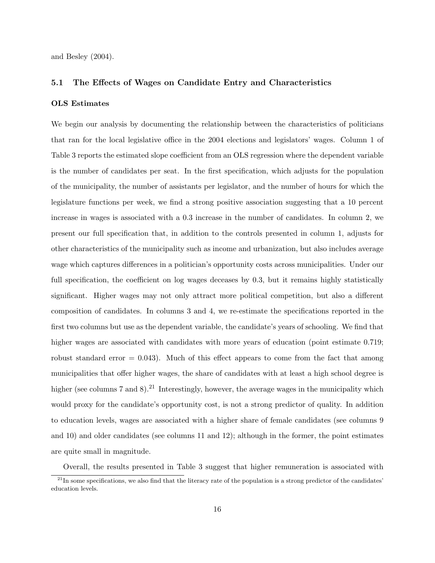and Besley (2004).

#### 5.1 The Effects of Wages on Candidate Entry and Characteristics

#### OLS Estimates

We begin our analysis by documenting the relationship between the characteristics of politicians that ran for the local legislative office in the 2004 elections and legislators' wages. Column 1 of Table 3 reports the estimated slope coefficient from an OLS regression where the dependent variable is the number of candidates per seat. In the first specification, which adjusts for the population of the municipality, the number of assistants per legislator, and the number of hours for which the legislature functions per week, we find a strong positive association suggesting that a 10 percent increase in wages is associated with a 0.3 increase in the number of candidates. In column 2, we present our full specification that, in addition to the controls presented in column 1, adjusts for other characteristics of the municipality such as income and urbanization, but also includes average wage which captures differences in a politician's opportunity costs across municipalities. Under our full specification, the coefficient on log wages deceases by 0.3, but it remains highly statistically significant. Higher wages may not only attract more political competition, but also a different composition of candidates. In columns 3 and 4, we re-estimate the specifications reported in the first two columns but use as the dependent variable, the candidate's years of schooling. We find that higher wages are associated with candidates with more years of education (point estimate 0.719; robust standard error  $= 0.043$ . Much of this effect appears to come from the fact that among municipalities that offer higher wages, the share of candidates with at least a high school degree is higher (see columns 7 and 8).<sup>21</sup> Interestingly, however, the average wages in the municipality which would proxy for the candidate's opportunity cost, is not a strong predictor of quality. In addition to education levels, wages are associated with a higher share of female candidates (see columns 9 and 10) and older candidates (see columns 11 and 12); although in the former, the point estimates are quite small in magnitude.

Overall, the results presented in Table 3 suggest that higher remuneration is associated with

 $21$ In some specifications, we also find that the literacy rate of the population is a strong predictor of the candidates' education levels.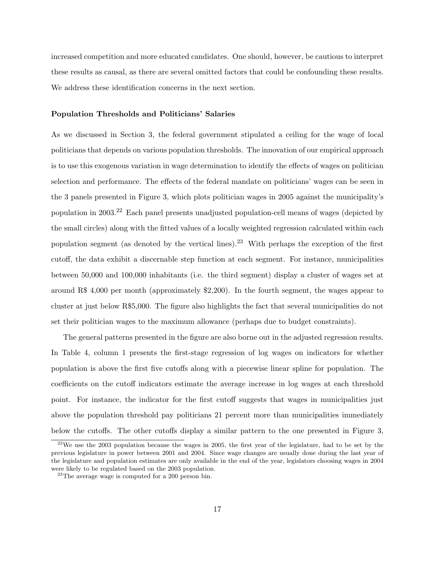increased competition and more educated candidates. One should, however, be cautious to interpret these results as causal, as there are several omitted factors that could be confounding these results. We address these identification concerns in the next section.

#### Population Thresholds and Politicians' Salaries

As we discussed in Section 3, the federal government stipulated a ceiling for the wage of local politicians that depends on various population thresholds. The innovation of our empirical approach is to use this exogenous variation in wage determination to identify the effects of wages on politician selection and performance. The effects of the federal mandate on politicians' wages can be seen in the 3 panels presented in Figure 3, which plots politician wages in 2005 against the municipality's population in 2003.<sup>22</sup> Each panel presents unadjusted population-cell means of wages (depicted by the small circles) along with the fitted values of a locally weighted regression calculated within each population segment (as denoted by the vertical lines).<sup>23</sup> With perhaps the exception of the first cutoff, the data exhibit a discernable step function at each segment. For instance, municipalities between 50,000 and 100,000 inhabitants (i.e. the third segment) display a cluster of wages set at around R\$ 4,000 per month (approximately \$2,200). In the fourth segment, the wages appear to cluster at just below R\$5,000. The figure also highlights the fact that several municipalities do not set their politician wages to the maximum allowance (perhaps due to budget constraints).

The general patterns presented in the figure are also borne out in the adjusted regression results. In Table 4, column 1 presents the first-stage regression of log wages on indicators for whether population is above the first five cutoffs along with a piecewise linear spline for population. The coefficients on the cutoff indicators estimate the average increase in log wages at each threshold point. For instance, the indicator for the first cutoff suggests that wages in municipalities just above the population threshold pay politicians 21 percent more than municipalities immediately below the cutoffs. The other cutoffs display a similar pattern to the one presented in Figure 3,

 $22$ We use the 2003 population because the wages in 2005, the first year of the legislature, had to be set by the previous legislature in power between 2001 and 2004. Since wage changes are usually done during the last year of the legislature and population estimates are only available in the end of the year, legislators choosing wages in 2004 were likely to be regulated based on the 2003 population.

 $23$ The average wage is computed for a 200 person bin.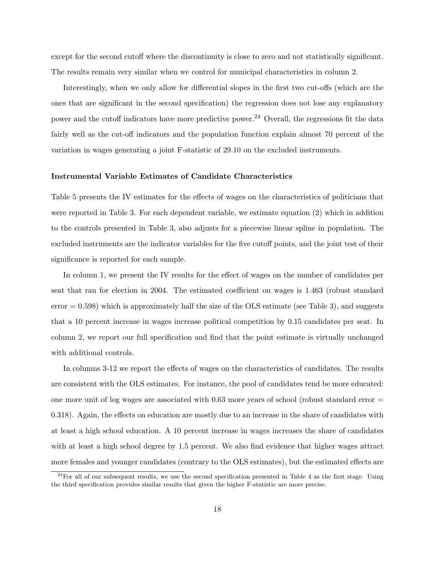except for the second cutoff where the discontinuity is close to zero and not statistically significant. The results remain very similar when we control for municipal characteristics in column 2.

Interestingly, when we only allow for differential slopes in the first two cut-offs (which are the ones that are significant in the second specification) the regression does not lose any explanatory power and the cutoff indicators have more predictive power.<sup>24</sup> Overall, the regressions fit the data fairly well as the cut-off indicators and the population function explain almost 70 percent of the variation in wages generating a joint F-statistic of 29.10 on the excluded instruments.

#### Instrumental Variable Estimates of Candidate Characteristics

Table 5 presents the IV estimates for the effects of wages on the characteristics of politicians that were reported in Table 3. For each dependent variable, we estimate equation (2) which in addition to the controls presented in Table 3, also adjusts for a piecewise linear spline in population. The excluded instruments are the indicator variables for the five cutoff points, and the joint test of their significance is reported for each sample.

In column 1, we present the IV results for the effect of wages on the number of candidates per seat that ran for election in 2004. The estimated coefficient on wages is 1.463 (robust standard  $error = 0.598$ ) which is approximately half the size of the OLS estimate (see Table 3), and suggests that a 10 percent increase in wages increase political competition by 0.15 candidates per seat. In column 2, we report our full specification and find that the point estimate is virtually unchanged with additional controls.

In columns 3-12 we report the effects of wages on the characteristics of candidates. The results are consistent with the OLS estimates. For instance, the pool of candidates tend be more educated: one more unit of log wages are associated with 0.63 more years of school (robust standard error = 0.318). Again, the effects on education are mostly due to an increase in the share of candidates with at least a high school education. A 10 percent increase in wages increases the share of candidates with at least a high school degree by 1.5 percent. We also find evidence that higher wages attract more females and younger candidates (contrary to the OLS estimates), but the estimated effects are

 $^{24}$ For all of our subsequent results, we use the second specification presented in Table 4 as the first stage. Using the third specification provides similar results that given the higher F-statistic are more precise.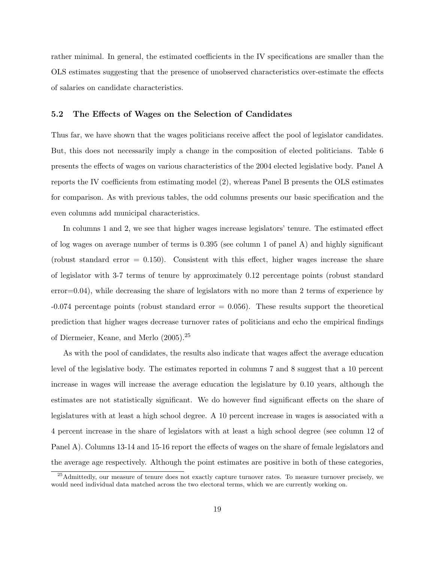rather minimal. In general, the estimated coefficients in the IV specifications are smaller than the OLS estimates suggesting that the presence of unobserved characteristics over-estimate the effects of salaries on candidate characteristics.

#### 5.2 The Effects of Wages on the Selection of Candidates

Thus far, we have shown that the wages politicians receive affect the pool of legislator candidates. But, this does not necessarily imply a change in the composition of elected politicians. Table 6 presents the effects of wages on various characteristics of the 2004 elected legislative body. Panel A reports the IV coefficients from estimating model (2), whereas Panel B presents the OLS estimates for comparison. As with previous tables, the odd columns presents our basic specification and the even columns add municipal characteristics.

In columns 1 and 2, we see that higher wages increase legislators' tenure. The estimated effect of log wages on average number of terms is 0.395 (see column 1 of panel A) and highly significant (robust standard error  $= 0.150$ ). Consistent with this effect, higher wages increase the share of legislator with 3-7 terms of tenure by approximately 0.12 percentage points (robust standard  $error=0.04$ , while decreasing the share of legislators with no more than 2 terms of experience by -0.074 percentage points (robust standard error = 0.056). These results support the theoretical prediction that higher wages decrease turnover rates of politicians and echo the empirical findings of Diermeier, Keane, and Merlo (2005).<sup>25</sup>

As with the pool of candidates, the results also indicate that wages affect the average education level of the legislative body. The estimates reported in columns 7 and 8 suggest that a 10 percent increase in wages will increase the average education the legislature by 0.10 years, although the estimates are not statistically significant. We do however find significant effects on the share of legislatures with at least a high school degree. A 10 percent increase in wages is associated with a 4 percent increase in the share of legislators with at least a high school degree (see column 12 of Panel A). Columns 13-14 and 15-16 report the effects of wages on the share of female legislators and the average age respectively. Although the point estimates are positive in both of these categories,

<sup>&</sup>lt;sup>25</sup>Admittedly, our measure of tenure does not exactly capture turnover rates. To measure turnover precisely, we would need individual data matched across the two electoral terms, which we are currently working on.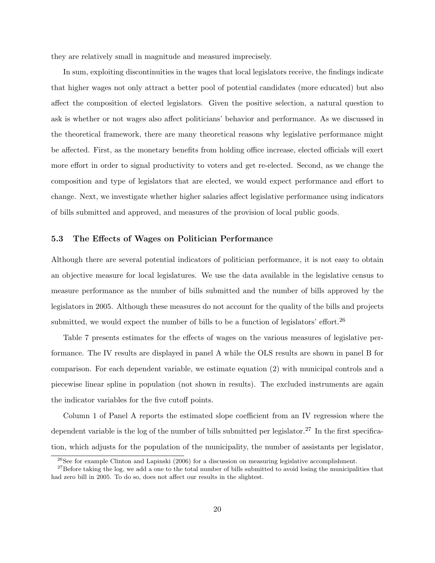they are relatively small in magnitude and measured imprecisely.

In sum, exploiting discontinuities in the wages that local legislators receive, the findings indicate that higher wages not only attract a better pool of potential candidates (more educated) but also affect the composition of elected legislators. Given the positive selection, a natural question to ask is whether or not wages also affect politicians' behavior and performance. As we discussed in the theoretical framework, there are many theoretical reasons why legislative performance might be affected. First, as the monetary benefits from holding office increase, elected officials will exert more effort in order to signal productivity to voters and get re-elected. Second, as we change the composition and type of legislators that are elected, we would expect performance and effort to change. Next, we investigate whether higher salaries affect legislative performance using indicators of bills submitted and approved, and measures of the provision of local public goods.

#### 5.3 The Effects of Wages on Politician Performance

Although there are several potential indicators of politician performance, it is not easy to obtain an objective measure for local legislatures. We use the data available in the legislative census to measure performance as the number of bills submitted and the number of bills approved by the legislators in 2005. Although these measures do not account for the quality of the bills and projects submitted, we would expect the number of bills to be a function of legislators' effort.<sup>26</sup>

Table 7 presents estimates for the effects of wages on the various measures of legislative performance. The IV results are displayed in panel A while the OLS results are shown in panel B for comparison. For each dependent variable, we estimate equation (2) with municipal controls and a piecewise linear spline in population (not shown in results). The excluded instruments are again the indicator variables for the five cutoff points.

Column 1 of Panel A reports the estimated slope coefficient from an IV regression where the dependent variable is the log of the number of bills submitted per legislator.<sup>27</sup> In the first specification, which adjusts for the population of the municipality, the number of assistants per legislator,

<sup>&</sup>lt;sup>26</sup>See for example Clinton and Lapinski (2006) for a discussion on measuring legislative accomplishment.

<sup>&</sup>lt;sup>27</sup>Before taking the log, we add a one to the total number of bills submitted to avoid losing the municipalities that had zero bill in 2005. To do so, does not affect our results in the slightest.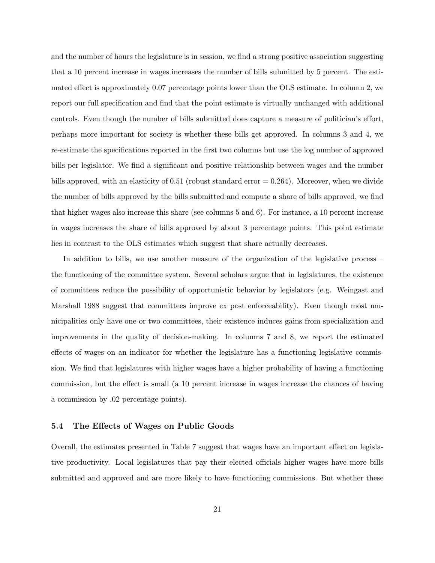and the number of hours the legislature is in session, we find a strong positive association suggesting that a 10 percent increase in wages increases the number of bills submitted by 5 percent. The estimated effect is approximately 0.07 percentage points lower than the OLS estimate. In column 2, we report our full specification and find that the point estimate is virtually unchanged with additional controls. Even though the number of bills submitted does capture a measure of politician's effort, perhaps more important for society is whether these bills get approved. In columns 3 and 4, we re-estimate the specifications reported in the first two columns but use the log number of approved bills per legislator. We find a significant and positive relationship between wages and the number bills approved, with an elasticity of  $0.51$  (robust standard error  $= 0.264$ ). Moreover, when we divide the number of bills approved by the bills submitted and compute a share of bills approved, we find that higher wages also increase this share (see columns 5 and 6). For instance, a 10 percent increase in wages increases the share of bills approved by about 3 percentage points. This point estimate lies in contrast to the OLS estimates which suggest that share actually decreases.

In addition to bills, we use another measure of the organization of the legislative process – the functioning of the committee system. Several scholars argue that in legislatures, the existence of committees reduce the possibility of opportunistic behavior by legislators (e.g. Weingast and Marshall 1988 suggest that committees improve ex post enforceability). Even though most municipalities only have one or two committees, their existence induces gains from specialization and improvements in the quality of decision-making. In columns 7 and 8, we report the estimated effects of wages on an indicator for whether the legislature has a functioning legislative commission. We find that legislatures with higher wages have a higher probability of having a functioning commission, but the effect is small (a 10 percent increase in wages increase the chances of having a commission by .02 percentage points).

#### 5.4 The Effects of Wages on Public Goods

Overall, the estimates presented in Table 7 suggest that wages have an important effect on legislative productivity. Local legislatures that pay their elected officials higher wages have more bills submitted and approved and are more likely to have functioning commissions. But whether these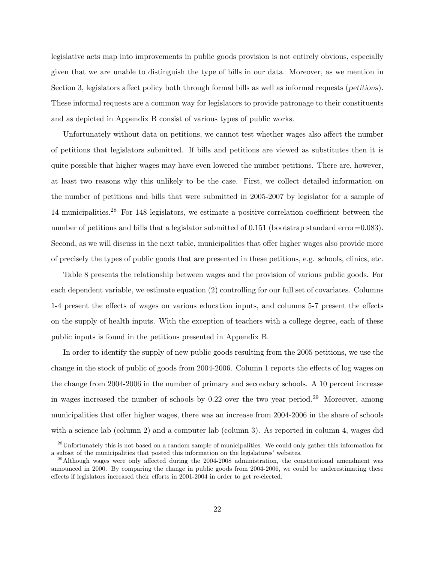legislative acts map into improvements in public goods provision is not entirely obvious, especially given that we are unable to distinguish the type of bills in our data. Moreover, as we mention in Section 3, legislators affect policy both through formal bills as well as informal requests (petitions). These informal requests are a common way for legislators to provide patronage to their constituents and as depicted in Appendix B consist of various types of public works.

Unfortunately without data on petitions, we cannot test whether wages also affect the number of petitions that legislators submitted. If bills and petitions are viewed as substitutes then it is quite possible that higher wages may have even lowered the number petitions. There are, however, at least two reasons why this unlikely to be the case. First, we collect detailed information on the number of petitions and bills that were submitted in 2005-2007 by legislator for a sample of 14 municipalities.<sup>28</sup> For 148 legislators, we estimate a positive correlation coefficient between the number of petitions and bills that a legislator submitted of 0.151 (bootstrap standard error=0.083). Second, as we will discuss in the next table, municipalities that offer higher wages also provide more of precisely the types of public goods that are presented in these petitions, e.g. schools, clinics, etc.

Table 8 presents the relationship between wages and the provision of various public goods. For each dependent variable, we estimate equation (2) controlling for our full set of covariates. Columns 1-4 present the effects of wages on various education inputs, and columns 5-7 present the effects on the supply of health inputs. With the exception of teachers with a college degree, each of these public inputs is found in the petitions presented in Appendix B.

In order to identify the supply of new public goods resulting from the 2005 petitions, we use the change in the stock of public of goods from 2004-2006. Column 1 reports the effects of log wages on the change from 2004-2006 in the number of primary and secondary schools. A 10 percent increase in wages increased the number of schools by  $0.22$  over the two year period.<sup>29</sup> Moreover, among municipalities that offer higher wages, there was an increase from 2004-2006 in the share of schools with a science lab (column 2) and a computer lab (column 3). As reported in column 4, wages did

<sup>28</sup>Unfortunately this is not based on a random sample of municipalities. We could only gather this information for a subset of the municipalities that posted this information on the legislatures' websites.

<sup>&</sup>lt;sup>29</sup>Although wages were only affected during the 2004-2008 administration, the constitutional amendment was announced in 2000. By comparing the change in public goods from 2004-2006, we could be underestimating these effects if legislators increased their efforts in 2001-2004 in order to get re-elected.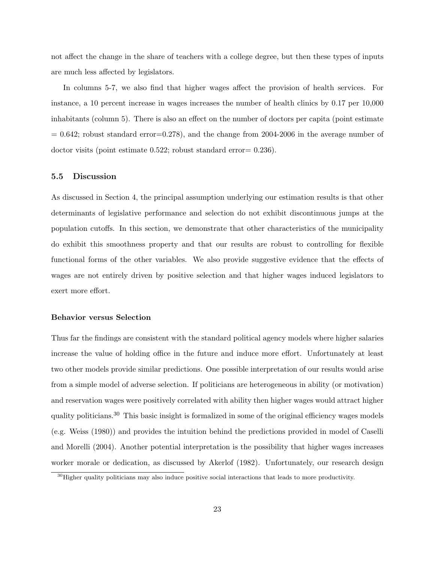not affect the change in the share of teachers with a college degree, but then these types of inputs are much less affected by legislators.

In columns 5-7, we also find that higher wages affect the provision of health services. For instance, a 10 percent increase in wages increases the number of health clinics by 0.17 per 10,000 inhabitants (column 5). There is also an effect on the number of doctors per capita (point estimate  $= 0.642$ ; robust standard error $= 0.278$ ), and the change from 2004-2006 in the average number of doctor visits (point estimate 0.522; robust standard error= 0.236).

#### 5.5 Discussion

As discussed in Section 4, the principal assumption underlying our estimation results is that other determinants of legislative performance and selection do not exhibit discontinuous jumps at the population cutoffs. In this section, we demonstrate that other characteristics of the municipality do exhibit this smoothness property and that our results are robust to controlling for flexible functional forms of the other variables. We also provide suggestive evidence that the effects of wages are not entirely driven by positive selection and that higher wages induced legislators to exert more effort.

#### Behavior versus Selection

Thus far the findings are consistent with the standard political agency models where higher salaries increase the value of holding office in the future and induce more effort. Unfortunately at least two other models provide similar predictions. One possible interpretation of our results would arise from a simple model of adverse selection. If politicians are heterogeneous in ability (or motivation) and reservation wages were positively correlated with ability then higher wages would attract higher quality politicians.<sup>30</sup> This basic insight is formalized in some of the original efficiency wages models (e.g. Weiss (1980)) and provides the intuition behind the predictions provided in model of Caselli and Morelli (2004). Another potential interpretation is the possibility that higher wages increases worker morale or dedication, as discussed by Akerlof (1982). Unfortunately, our research design

 $30$ Higher quality politicians may also induce positive social interactions that leads to more productivity.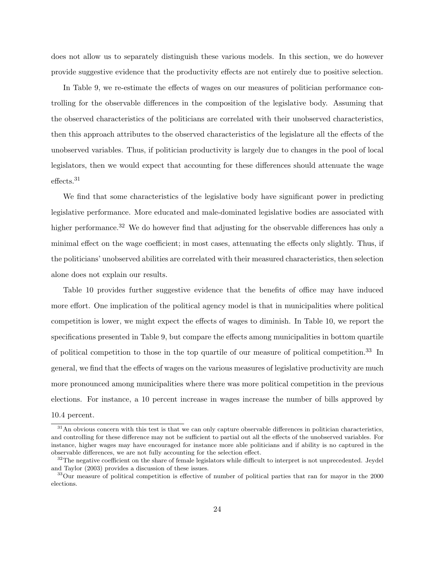does not allow us to separately distinguish these various models. In this section, we do however provide suggestive evidence that the productivity effects are not entirely due to positive selection.

In Table 9, we re-estimate the effects of wages on our measures of politician performance controlling for the observable differences in the composition of the legislative body. Assuming that the observed characteristics of the politicians are correlated with their unobserved characteristics, then this approach attributes to the observed characteristics of the legislature all the effects of the unobserved variables. Thus, if politician productivity is largely due to changes in the pool of local legislators, then we would expect that accounting for these differences should attenuate the wage effects.<sup>31</sup>

We find that some characteristics of the legislative body have significant power in predicting legislative performance. More educated and male-dominated legislative bodies are associated with higher performance.<sup>32</sup> We do however find that adjusting for the observable differences has only a minimal effect on the wage coefficient; in most cases, attenuating the effects only slightly. Thus, if the politicians' unobserved abilities are correlated with their measured characteristics, then selection alone does not explain our results.

Table 10 provides further suggestive evidence that the benefits of office may have induced more effort. One implication of the political agency model is that in municipalities where political competition is lower, we might expect the effects of wages to diminish. In Table 10, we report the specifications presented in Table 9, but compare the effects among municipalities in bottom quartile of political competition to those in the top quartile of our measure of political competition.<sup>33</sup> In general, we find that the effects of wages on the various measures of legislative productivity are much more pronounced among municipalities where there was more political competition in the previous elections. For instance, a 10 percent increase in wages increase the number of bills approved by 10.4 percent.

 $31$ An obvious concern with this test is that we can only capture observable differences in politician characteristics, and controlling for these difference may not be sufficient to partial out all the effects of the unobserved variables. For instance, higher wages may have encouraged for instance more able politicians and if ability is no captured in the observable differences, we are not fully accounting for the selection effect.

 $32$ The negative coefficient on the share of female legislators while difficult to interpret is not unprecedented. Jeydel and Taylor (2003) provides a discussion of these issues.

<sup>&</sup>lt;sup>33</sup>Our measure of political competition is effective of number of political parties that ran for mayor in the 2000 elections.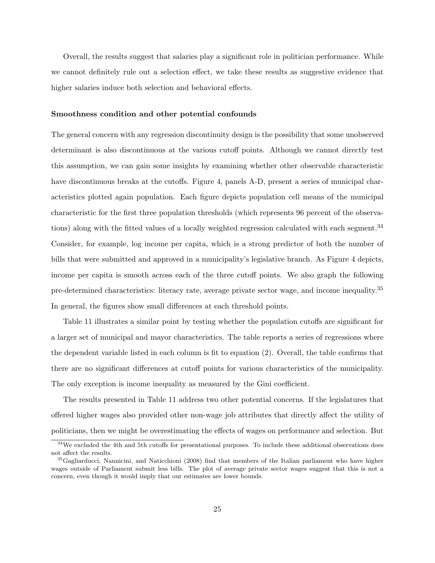Overall, the results suggest that salaries play a significant role in politician performance. While we cannot definitely rule out a selection effect, we take these results as suggestive evidence that higher salaries induce both selection and behavioral effects.

#### Smoothness condition and other potential confounds

The general concern with any regression discontinuity design is the possibility that some unobserved determinant is also discontinuous at the various cutoff points. Although we cannot directly test this assumption, we can gain some insights by examining whether other observable characteristic have discontinuous breaks at the cutoffs. Figure 4, panels A-D, present a series of municipal characteristics plotted again population. Each figure depicts population cell means of the municipal characteristic for the first three population thresholds (which represents 96 percent of the observations) along with the fitted values of a locally weighted regression calculated with each segment.<sup>34</sup> Consider, for example, log income per capita, which is a strong predictor of both the number of bills that were submitted and approved in a municipality's legislative branch. As Figure 4 depicts, income per capita is smooth across each of the three cutoff points. We also graph the following pre-determined characteristics: literacy rate, average private sector wage, and income inequality.<sup>35</sup> In general, the figures show small differences at each threshold points.

Table 11 illustrates a similar point by testing whether the population cutoffs are significant for a larger set of municipal and mayor characteristics. The table reports a series of regressions where the dependent variable listed in each column is fit to equation (2). Overall, the table confirms that there are no significant differences at cutoff points for various characteristics of the municipality. The only exception is income inequality as measured by the Gini coefficient.

The results presented in Table 11 address two other potential concerns. If the legislatures that offered higher wages also provided other non-wage job attributes that directly affect the utility of politicians, then we might be overestimating the effects of wages on performance and selection. But

<sup>&</sup>lt;sup>34</sup>We excluded the 4th and 5th cutoffs for presentational purposes. To include these additional observations does not affect the results.

<sup>&</sup>lt;sup>35</sup>Gagliarducci, Nannicini, and Naticchioni (2008) find that members of the Italian parliament who have higher wages outside of Parliament submit less bills. The plot of average private sector wages suggest that this is not a concern, even though it would imply that our estimates are lower bounds.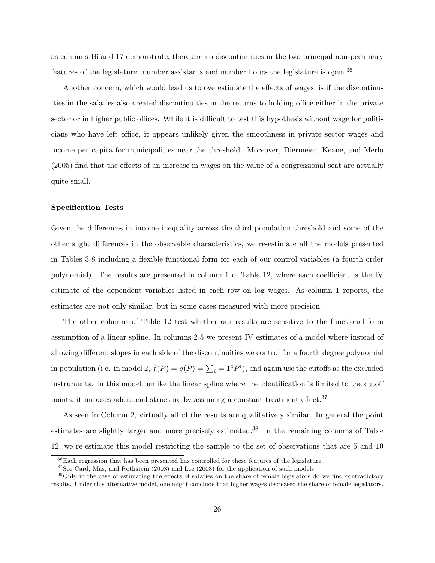as columns 16 and 17 demonstrate, there are no discontinuities in the two principal non-pecuniary features of the legislature: number assistants and number hours the legislature is open.<sup>36</sup>

Another concern, which would lead us to overestimate the effects of wages, is if the discontinuities in the salaries also created discontinuities in the returns to holding office either in the private sector or in higher public offices. While it is difficult to test this hypothesis without wage for politicians who have left office, it appears unlikely given the smoothness in private sector wages and income per capita for municipalities near the threshold. Moreover, Diermeier, Keane, and Merlo (2005) find that the effects of an increase in wages on the value of a congressional seat are actually quite small.

#### Specification Tests

Given the differences in income inequality across the third population threshold and some of the other slight differences in the observable characteristics, we re-estimate all the models presented in Tables 3-8 including a flexible-functional form for each of our control variables (a fourth-order polynomial). The results are presented in column 1 of Table 12, where each coefficient is the IV estimate of the dependent variables listed in each row on log wages. As column 1 reports, the estimates are not only similar, but in some cases measured with more precision.

The other columns of Table 12 test whether our results are sensitive to the functional form assumption of a linear spline. In columns 2-5 we present IV estimates of a model where instead of allowing different slopes in each side of the discontinuities we control for a fourth degree polynomial in population (i.e. in model 2,  $f(P) = g(P) = \sum_i^{} = 1^4P^i$ ), and again use the cutoffs as the excluded instruments. In this model, unlike the linear spline where the identification is limited to the cutoff points, it imposes additional structure by assuming a constant treatment effect.<sup>37</sup>

As seen in Column 2, virtually all of the results are qualitatively similar. In general the point estimates are slightly larger and more precisely estimated.<sup>38</sup> In the remaining columns of Table 12, we re-estimate this model restricting the sample to the set of observations that are 5 and 10

<sup>36</sup>Each regression that has been presented has controlled for these features of the legislature.

<sup>&</sup>lt;sup>37</sup>See Card, Mas, and Rothstein (2008) and Lee (2008) for the application of such models.

<sup>38</sup>Only in the case of estimating the effects of salaries on the share of female legislators do we find contradictory results. Under this alternative model, one might conclude that higher wages decreased the share of female legislators.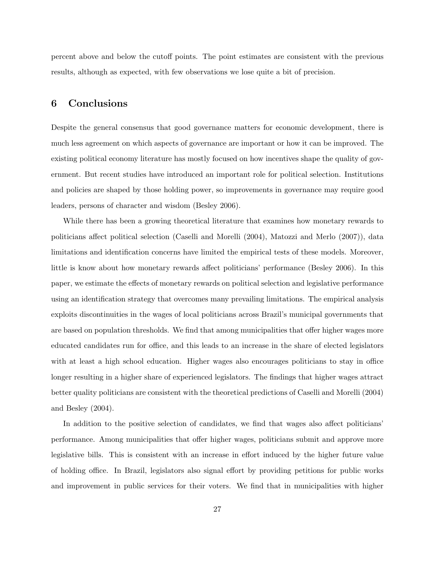percent above and below the cutoff points. The point estimates are consistent with the previous results, although as expected, with few observations we lose quite a bit of precision.

## 6 Conclusions

Despite the general consensus that good governance matters for economic development, there is much less agreement on which aspects of governance are important or how it can be improved. The existing political economy literature has mostly focused on how incentives shape the quality of government. But recent studies have introduced an important role for political selection. Institutions and policies are shaped by those holding power, so improvements in governance may require good leaders, persons of character and wisdom (Besley 2006).

While there has been a growing theoretical literature that examines how monetary rewards to politicians affect political selection (Caselli and Morelli (2004), Matozzi and Merlo (2007)), data limitations and identification concerns have limited the empirical tests of these models. Moreover, little is know about how monetary rewards affect politicians' performance (Besley 2006). In this paper, we estimate the effects of monetary rewards on political selection and legislative performance using an identification strategy that overcomes many prevailing limitations. The empirical analysis exploits discontinuities in the wages of local politicians across Brazil's municipal governments that are based on population thresholds. We find that among municipalities that offer higher wages more educated candidates run for office, and this leads to an increase in the share of elected legislators with at least a high school education. Higher wages also encourages politicians to stay in office longer resulting in a higher share of experienced legislators. The findings that higher wages attract better quality politicians are consistent with the theoretical predictions of Caselli and Morelli (2004) and Besley (2004).

In addition to the positive selection of candidates, we find that wages also affect politicians' performance. Among municipalities that offer higher wages, politicians submit and approve more legislative bills. This is consistent with an increase in effort induced by the higher future value of holding office. In Brazil, legislators also signal effort by providing petitions for public works and improvement in public services for their voters. We find that in municipalities with higher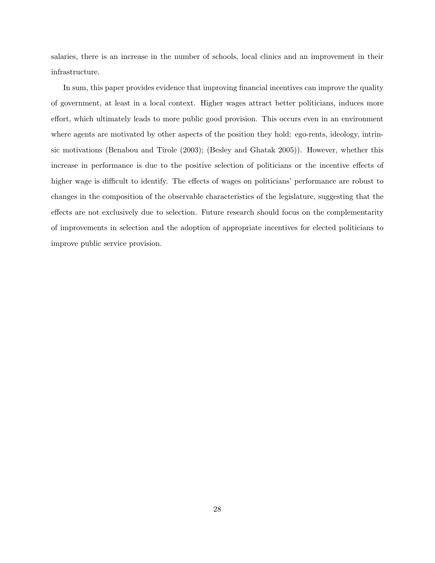salaries, there is an increase in the number of schools, local clinics and an improvement in their infrastructure.

In sum, this paper provides evidence that improving financial incentives can improve the quality of government, at least in a local context. Higher wages attract better politicians, induces more effort, which ultimately leads to more public good provision. This occurs even in an environment where agents are motivated by other aspects of the position they hold: ego-rents, ideology, intrinsic motivations (Benabou and Tirole (2003); (Besley and Ghatak 2005)). However, whether this increase in performance is due to the positive selection of politicians or the incentive effects of higher wage is difficult to identify. The effects of wages on politicians' performance are robust to changes in the composition of the observable characteristics of the legislature, suggesting that the effects are not exclusively due to selection. Future research should focus on the complementarity of improvements in selection and the adoption of appropriate incentives for elected politicians to improve public service provision.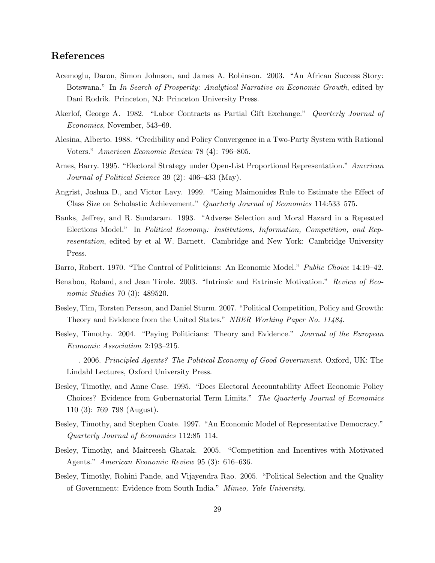## References

- Acemoglu, Daron, Simon Johnson, and James A. Robinson. 2003. "An African Success Story: Botswana." In In Search of Prosperity: Analytical Narrative on Economic Growth, edited by Dani Rodrik. Princeton, NJ: Princeton University Press.
- Akerlof, George A. 1982. "Labor Contracts as Partial Gift Exchange." Quarterly Journal of Economics, November, 543–69.
- Alesina, Alberto. 1988. "Credibility and Policy Convergence in a Two-Party System with Rational Voters." American Economic Review 78 (4): 796–805.
- Ames, Barry. 1995. "Electoral Strategy under Open-List Proportional Representation." American Journal of Political Science 39 (2): 406–433 (May).
- Angrist, Joshua D., and Victor Lavy. 1999. "Using Maimonides Rule to Estimate the Effect of Class Size on Scholastic Achievement." Quarterly Journal of Economics 114:533–575.
- Banks, Jeffrey, and R. Sundaram. 1993. "Adverse Selection and Moral Hazard in a Repeated Elections Model." In Political Economy: Institutions, Information, Competition, and Representation, edited by et al W. Barnett. Cambridge and New York: Cambridge University Press.
- Barro, Robert. 1970. "The Control of Politicians: An Economic Model." Public Choice 14:19–42.
- Benabou, Roland, and Jean Tirole. 2003. "Intrinsic and Extrinsic Motivation." Review of Economic Studies 70 (3): 489520.
- Besley, Tim, Torsten Persson, and Daniel Sturm. 2007. "Political Competition, Policy and Growth: Theory and Evidence from the United States." NBER Working Paper No. 11484.
- Besley, Timothy. 2004. "Paying Politicians: Theory and Evidence." Journal of the European Economic Association 2:193–215.
- . 2006. Principled Agents? The Political Economy of Good Government. Oxford, UK: The Lindahl Lectures, Oxford University Press.
- Besley, Timothy, and Anne Case. 1995. "Does Electoral Accountability Affect Economic Policy Choices? Evidence from Gubernatorial Term Limits." The Quarterly Journal of Economics 110 (3): 769–798 (August).
- Besley, Timothy, and Stephen Coate. 1997. "An Economic Model of Representative Democracy." Quarterly Journal of Economics 112:85–114.
- Besley, Timothy, and Maitreesh Ghatak. 2005. "Competition and Incentives with Motivated Agents." American Economic Review 95 (3): 616–636.
- Besley, Timothy, Rohini Pande, and Vijayendra Rao. 2005. "Political Selection and the Quality of Government: Evidence from South India." Mimeo, Yale University.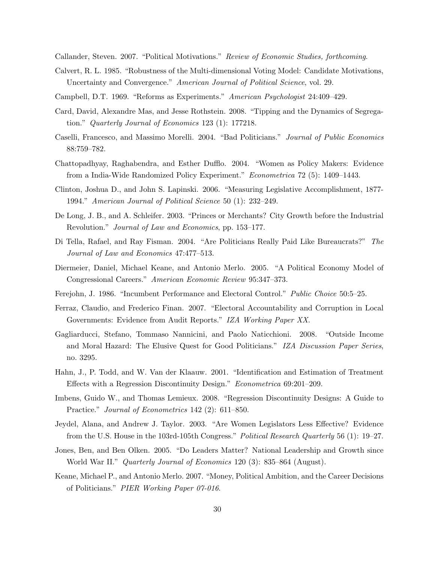Callander, Steven. 2007. "Political Motivations." Review of Economic Studies, forthcoming.

- Calvert, R. L. 1985. "Robustness of the Multi-dimensional Voting Model: Candidate Motivations, Uncertainty and Convergence." American Journal of Political Science, vol. 29.
- Campbell, D.T. 1969. "Reforms as Experiments." American Psychologist 24:409–429.
- Card, David, Alexandre Mas, and Jesse Rothstein. 2008. "Tipping and the Dynamics of Segregation." Quarterly Journal of Economics 123 (1): 177218.
- Caselli, Francesco, and Massimo Morelli. 2004. "Bad Politicians." Journal of Public Economics 88:759–782.
- Chattopadhyay, Raghabendra, and Esther Dufflo. 2004. "Women as Policy Makers: Evidence from a India-Wide Randomized Policy Experiment." Econometrica 72 (5): 1409–1443.
- Clinton, Joshua D., and John S. Lapinski. 2006. "Measuring Legislative Accomplishment, 1877- 1994." American Journal of Political Science 50 (1): 232–249.
- De Long, J. B., and A. Schleifer. 2003. "Princes or Merchants? City Growth before the Industrial Revolution." Journal of Law and Economics, pp. 153–177.
- Di Tella, Rafael, and Ray Fisman. 2004. "Are Politicians Really Paid Like Bureaucrats?" The Journal of Law and Economics 47:477–513.
- Diermeier, Daniel, Michael Keane, and Antonio Merlo. 2005. "A Political Economy Model of Congressional Careers." American Economic Review 95:347–373.
- Ferejohn, J. 1986. "Incumbent Performance and Electoral Control." *Public Choice* 50:5–25.
- Ferraz, Claudio, and Frederico Finan. 2007. "Electoral Accountability and Corruption in Local Governments: Evidence from Audit Reports." IZA Working Paper XX.
- Gagliarducci, Stefano, Tommaso Nannicini, and Paolo Naticchioni. 2008. "Outside Income and Moral Hazard: The Elusive Quest for Good Politicians." IZA Discussion Paper Series, no. 3295.
- Hahn, J., P. Todd, and W. Van der Klaauw. 2001. "Identification and Estimation of Treatment Effects with a Regression Discontinuity Design." Econometrica 69:201–209.
- Imbens, Guido W., and Thomas Lemieux. 2008. "Regression Discontinuity Designs: A Guide to Practice." Journal of Econometrics 142 (2): 611–850.
- Jeydel, Alana, and Andrew J. Taylor. 2003. "Are Women Legislators Less Effective? Evidence from the U.S. House in the 103rd-105th Congress." Political Research Quarterly 56 (1): 19–27.
- Jones, Ben, and Ben Olken. 2005. "Do Leaders Matter? National Leadership and Growth since World War II." Quarterly Journal of Economics 120 (3): 835–864 (August).
- Keane, Michael P., and Antonio Merlo. 2007. "Money, Political Ambition, and the Career Decisions of Politicians." PIER Working Paper 07-016.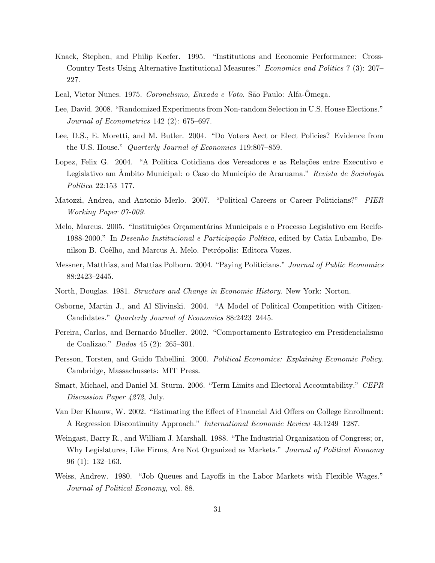- Knack, Stephen, and Philip Keefer. 1995. "Institutions and Economic Performance: Cross-Country Tests Using Alternative Institutional Measures." Economics and Politics 7 (3): 207– 227.
- Leal, Victor Nunes. 1975. Coronelismo, Enxada e Voto. São Paulo: Alfa-Ômega.
- Lee, David. 2008. "Randomized Experiments from Non-random Selection in U.S. House Elections." Journal of Econometrics 142 (2): 675–697.
- Lee, D.S., E. Moretti, and M. Butler. 2004. "Do Voters Aect or Elect Policies? Evidence from the U.S. House." Quarterly Journal of Economics 119:807–859.
- Lopez, Felix G. 2004. "A Política Cotidiana dos Vereadores e as Relações entre Executivo e Legislativo am Ambito Municipal: o Caso do Município de Araruama." Revista de Sociologia Política 22:153-177.
- Matozzi, Andrea, and Antonio Merlo. 2007. "Political Careers or Career Politicians?" PIER Working Paper 07-009.
- Melo, Marcus. 2005. "Instituições Orçamentárias Municipais e o Processo Legislativo em Recife-1988-2000." In *Desenho Institucional e Participação Política*, edited by Catia Lubambo, Denilson B. Coêlho, and Marcus A. Melo. Petrópolis: Editora Vozes.
- Messner, Matthias, and Mattias Polborn. 2004. "Paying Politicians." Journal of Public Economics 88:2423–2445.
- North, Douglas. 1981. Structure and Change in Economic History. New York: Norton.
- Osborne, Martin J., and Al Slivinski. 2004. "A Model of Political Competition with Citizen-Candidates." Quarterly Journal of Economics 88:2423–2445.
- Pereira, Carlos, and Bernardo Mueller. 2002. "Comportamento Estrategico em Presidencialismo de Coalizao." Dados 45 (2): 265–301.
- Persson, Torsten, and Guido Tabellini. 2000. Political Economics: Explaining Economic Policy. Cambridge, Massachussets: MIT Press.
- Smart, Michael, and Daniel M. Sturm. 2006. "Term Limits and Electoral Accountability." CEPR Discussion Paper 4272, July.
- Van Der Klaauw, W. 2002. "Estimating the Effect of Financial Aid Offers on College Enrollment: A Regression Discontinuity Approach." International Economic Review 43:1249–1287.
- Weingast, Barry R., and William J. Marshall. 1988. "The Industrial Organization of Congress; or, Why Legislatures, Like Firms, Are Not Organized as Markets." Journal of Political Economy 96 (1): 132–163.
- Weiss, Andrew. 1980. "Job Queues and Layoffs in the Labor Markets with Flexible Wages." Journal of Political Economy, vol. 88.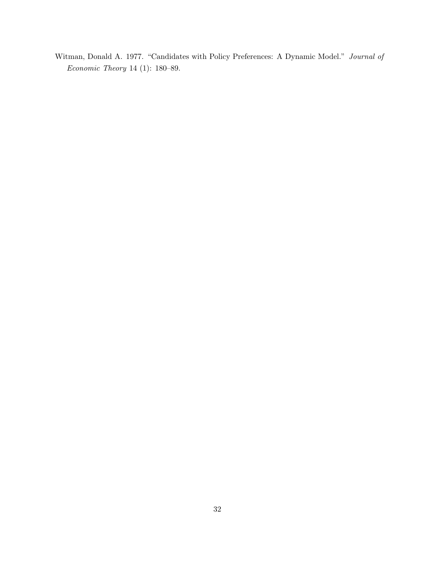Witman, Donald A. 1977. "Candidates with Policy Preferences: A Dynamic Model." Journal of Economic Theory 14 (1): 180–89.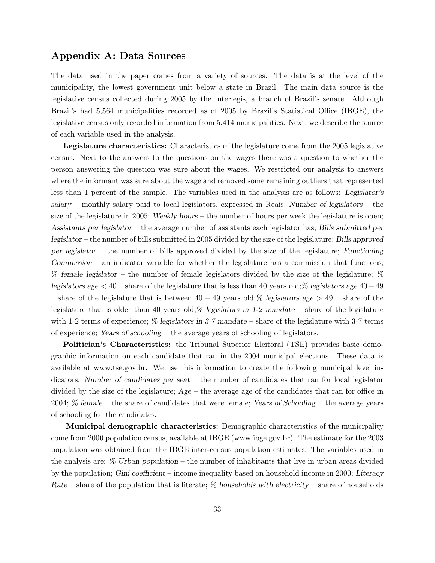## Appendix A: Data Sources

The data used in the paper comes from a variety of sources. The data is at the level of the municipality, the lowest government unit below a state in Brazil. The main data source is the legislative census collected during 2005 by the Interlegis, a branch of Brazil's senate. Although Brazil's had 5,564 municipalities recorded as of 2005 by Brazil's Statistical Office (IBGE), the legislative census only recorded information from 5,414 municipalities. Next, we describe the source of each variable used in the analysis.

Legislature characteristics: Characteristics of the legislature come from the 2005 legislative census. Next to the answers to the questions on the wages there was a question to whether the person answering the question was sure about the wages. We restricted our analysis to answers where the informant was sure about the wage and removed some remaining outliers that represented less than 1 percent of the sample. The variables used in the analysis are as follows: Legislator's salary – monthly salary paid to local legislators, expressed in Reais; Number of legislators – the size of the legislature in 2005; Weekly hours – the number of hours per week the legislature is open; Assistants per legislator – the average number of assistants each legislator has; Bills submitted per legislator – the number of bills submitted in 2005 divided by the size of the legislature; Bills approved per legislator – the number of bills approved divided by the size of the legislature; Functioning Commission – an indicator variable for whether the legislature has a commission that functions; % female legislator – the number of female legislators divided by the size of the legislature; % legislators age < 40 – share of the legislature that is less than 40 years old;% legislators age 40−49 – share of the legislature that is between  $40 - 49$  years old;% legislators age  $> 49$  – share of the legislature that is older than 40 years old;  $\%$  legislators in 1-2 mandate – share of the legislature with 1-2 terms of experience;  $\%$  legislators in 3-7 mandate – share of the legislature with 3-7 terms of experience; Years of schooling – the average years of schooling of legislators.

Politician's Characteristics: the Tribunal Superior Eleitoral (TSE) provides basic demographic information on each candidate that ran in the 2004 municipal elections. These data is available at www.tse.gov.br. We use this information to create the following municipal level indicators: Number of candidates per seat – the number of candidates that ran for local legislator divided by the size of the legislature;  $Age -$  the average age of the candidates that ran for office in 2004; % female – the share of candidates that were female; Years of Schooling – the average years of schooling for the candidates.

Municipal demographic characteristics: Demographic characteristics of the municipality come from 2000 population census, available at IBGE (www.ibge.gov.br). The estimate for the 2003 population was obtained from the IBGE inter-census population estimates. The variables used in the analysis are: % Urban population – the number of inhabitants that live in urban areas divided by the population; Gini coefficient – income inequality based on household income in 2000; Literacy Rate – share of the population that is literate;  $\%$  households with electricity – share of households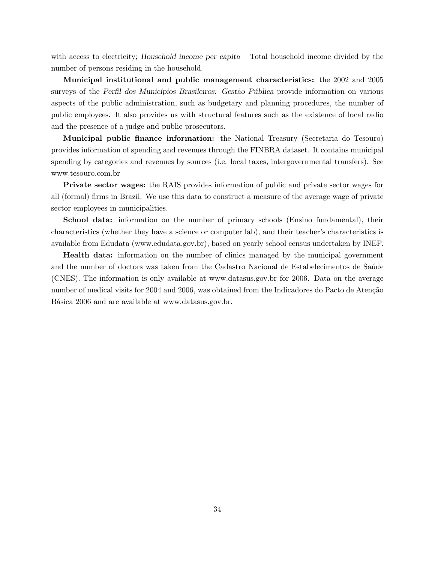with access to electricity; Household income per capita – Total household income divided by the number of persons residing in the household.

Municipal institutional and public management characteristics: the 2002 and 2005 surveys of the Perfil dos Municípios Brasileiros: Gestão Pública provide information on various aspects of the public administration, such as budgetary and planning procedures, the number of public employees. It also provides us with structural features such as the existence of local radio and the presence of a judge and public prosecutors.

Municipal public finance information: the National Treasury (Secretaria do Tesouro) provides information of spending and revenues through the FINBRA dataset. It contains municipal spending by categories and revenues by sources (i.e. local taxes, intergovernmental transfers). See www.tesouro.com.br

Private sector wages: the RAIS provides information of public and private sector wages for all (formal) firms in Brazil. We use this data to construct a measure of the average wage of private sector employees in municipalities.

School data: information on the number of primary schools (Ensino fundamental), their characteristics (whether they have a science or computer lab), and their teacher's characteristics is available from Edudata (www.edudata.gov.br), based on yearly school census undertaken by INEP.

Health data: information on the number of clinics managed by the municipal government and the number of doctors was taken from the Cadastro Nacional de Estabelecimentos de Saúde (CNES). The information is only available at www.datasus.gov.br for 2006. Data on the average number of medical visits for 2004 and 2006, was obtained from the Indicadores do Pacto de Atenção Básica 2006 and are available at www.datasus.gov.br.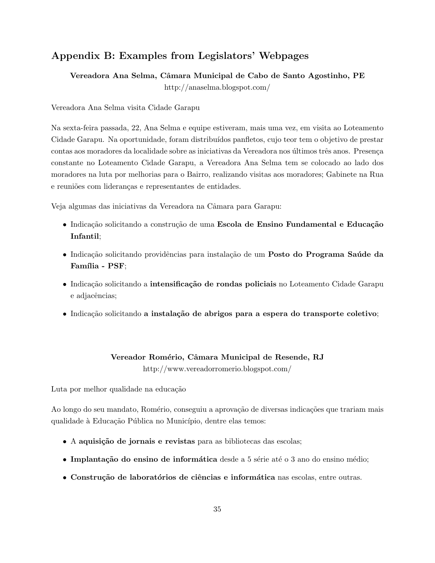## Appendix B: Examples from Legislators' Webpages

Vereadora Ana Selma, Câmara Municipal de Cabo de Santo Agostinho, PE

http://anaselma.blogspot.com/

Vereadora Ana Selma visita Cidade Garapu

Na sexta-feira passada, 22, Ana Selma e equipe estiveram, mais uma vez, em visita ao Loteamento Cidade Garapu. Na oportunidade, foram distribuídos panfletos, cujo teor tem o objetivo de prestar contas aos moradores da localidade sobre as iniciativas da Vereadora nos últimos três anos. Presença constante no Loteamento Cidade Garapu, a Vereadora Ana Selma tem se colocado ao lado dos moradores na luta por melhorias para o Bairro, realizando visitas aos moradores; Gabinete na Rua e reuniões com lideranças e representantes de entidades.

Veja algumas das iniciativas da Vereadora na Câmara para Garapu:

- Indicação solicitando a construção de uma Escola de Ensino Fundamental e Educação Infantil;
- Indicação solicitando providências para instalação de um Posto do Programa Saúde da Família - PSF;
- Indicação solicitando a intensificação de rondas policiais no Loteamento Cidade Garapu e adjacências;
- Indicação solicitando a instalação de abrigos para a espera do transporte coletivo;

#### Vereador Romério, Câmara Municipal de Resende, RJ

http://www.vereadorromerio.blogspot.com/

Luta por melhor qualidade na educação

Ao longo do seu mandato, Romério, conseguiu a aprovação de diversas indicações que trariam mais qualidade à Educação Pública no Município, dentre elas temos:

- A aquisição de jornais e revistas para as bibliotecas das escolas;
- Implantação do ensino de informática desde a 5 série até o 3 ano do ensino médio;
- Construção de laboratórios de ciências e informática nas escolas, entre outras.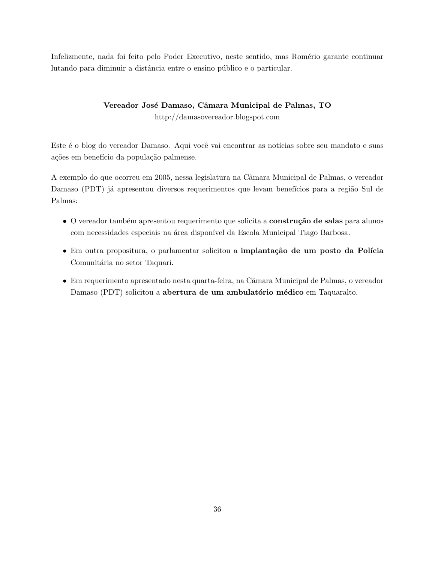Infelizmente, nada foi feito pelo Poder Executivo, neste sentido, mas Romério garante continuar lutando para diminuir a distância entre o ensino público e o particular.

## Vereador José Damaso, Câmara Municipal de Palmas, TO http://damasovereador.blogspot.com

Este é o blog do vereador Damaso. Aqui você vai encontrar as notícias sobre seu mandato e suas ações em benefício da população palmense.

A exemplo do que ocorreu em 2005, nessa legislatura na Câmara Municipal de Palmas, o vereador Damaso (PDT) já apresentou diversos requerimentos que levam benefícios para a região Sul de Palmas:

- O vereador também apresentou requerimento que solicita a **construção de salas** para alunos com necessidades especiais na área disponível da Escola Municipal Tiago Barbosa.
- Em outra propositura, o parlamentar solicitou a implantação de um posto da Polícia Comunitária no setor Taquari.
- Em requerimento apresentado nesta quarta-feira, na Cˆamara Municipal de Palmas, o vereador Damaso (PDT) solicitou a abertura de um ambulatório médico em Taquaralto.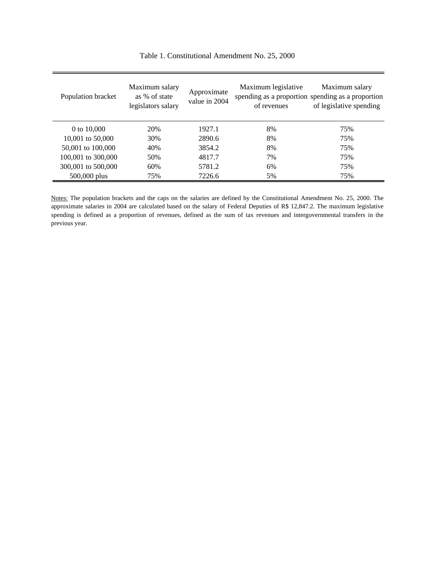| Population bracket | Maximum salary<br>as % of state<br>legislators salary | Approximate<br>value in 2004 | Maximum legislative<br>of revenues | Maximum salary<br>spending as a proportion spending as a proportion<br>of legislative spending |
|--------------------|-------------------------------------------------------|------------------------------|------------------------------------|------------------------------------------------------------------------------------------------|
| 0 to $10,000$      | 20%                                                   | 1927.1                       | 8%                                 | 75%                                                                                            |
| 10,001 to 50,000   | 30%                                                   | 2890.6                       | 8%                                 | 75%                                                                                            |
| 50,001 to 100,000  | 40%                                                   | 3854.2                       | 8%                                 | 75%                                                                                            |
| 100,001 to 300,000 | 50%                                                   | 4817.7                       | 7%                                 | 75%                                                                                            |
| 300,001 to 500,000 | 60%                                                   | 5781.2                       | 6%                                 | 75%                                                                                            |
| 500,000 plus       | 75%                                                   | 7226.6                       | 5%                                 | 75%                                                                                            |

Table 1. Constitutional Amendment No. 25, 2000

Notes: The population brackets and the caps on the salaries are defined by the Constitutional Amendment No. 25, 2000. The approximate salaries in 2004 are calculated based on the salary of Federal Deputies of R\$ 12,847.2. The maximum legislative spending is defined as a proportion of revenues, defined as the sum of tax revenues and intergovernmental transfers in the previous year.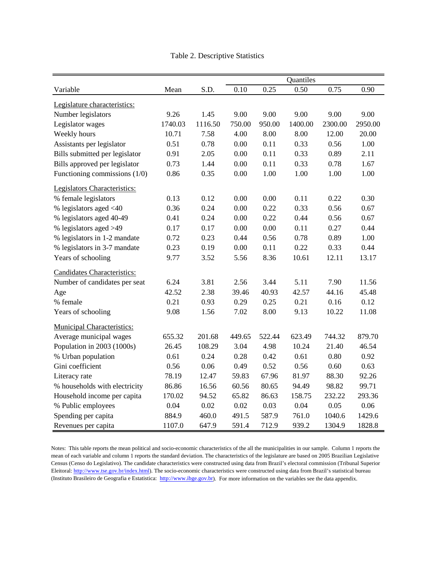|                                   | Quantiles |         |        |        |         |         |         |  |  |  |
|-----------------------------------|-----------|---------|--------|--------|---------|---------|---------|--|--|--|
| Variable                          | Mean      | S.D.    | 0.10   | 0.25   | 0.50    | 0.75    | 0.90    |  |  |  |
| Legislature characteristics:      |           |         |        |        |         |         |         |  |  |  |
| Number legislators                | 9.26      | 1.45    | 9.00   | 9.00   | 9.00    | 9.00    | 9.00    |  |  |  |
| Legislator wages                  | 1740.03   | 1116.50 | 750.00 | 950.00 | 1400.00 | 2300.00 | 2950.00 |  |  |  |
| Weekly hours                      | 10.71     | 7.58    | 4.00   | 8.00   | 8.00    | 12.00   | 20.00   |  |  |  |
| Assistants per legislator         | 0.51      | 0.78    | 0.00   | 0.11   | 0.33    | 0.56    | 1.00    |  |  |  |
| Bills submitted per legislator    | 0.91      | 2.05    | 0.00   | 0.11   | 0.33    | 0.89    | 2.11    |  |  |  |
| Bills approved per legislator     | 0.73      | 1.44    | 0.00   | 0.11   | 0.33    | 0.78    | 1.67    |  |  |  |
| Functioning commissions (1/0)     | 0.86      | 0.35    | 0.00   | 1.00   | 1.00    | 1.00    | 1.00    |  |  |  |
| Legislators Characteristics:      |           |         |        |        |         |         |         |  |  |  |
| % female legislators              | 0.13      | 0.12    | 0.00   | 0.00   | 0.11    | 0.22    | 0.30    |  |  |  |
| % legislators aged <40            | 0.36      | 0.24    | 0.00   | 0.22   | 0.33    | 0.56    | 0.67    |  |  |  |
| % legislators aged 40-49          | 0.41      | 0.24    | 0.00   | 0.22   | 0.44    | 0.56    | 0.67    |  |  |  |
| % legislators aged >49            | 0.17      | 0.17    | 0.00   | 0.00   | 0.11    | 0.27    | 0.44    |  |  |  |
| % legislators in 1-2 mandate      | 0.72      | 0.23    | 0.44   | 0.56   | 0.78    | 0.89    | 1.00    |  |  |  |
| % legislators in 3-7 mandate      | 0.23      | 0.19    | 0.00   | 0.11   | 0.22    | 0.33    | 0.44    |  |  |  |
| Years of schooling                | 9.77      | 3.52    | 5.56   | 8.36   | 10.61   | 12.11   | 13.17   |  |  |  |
| Candidates Characteristics:       |           |         |        |        |         |         |         |  |  |  |
| Number of candidates per seat     | 6.24      | 3.81    | 2.56   | 3.44   | 5.11    | 7.90    | 11.56   |  |  |  |
| Age                               | 42.52     | 2.38    | 39.46  | 40.93  | 42.57   | 44.16   | 45.48   |  |  |  |
| % female                          | 0.21      | 0.93    | 0.29   | 0.25   | 0.21    | 0.16    | 0.12    |  |  |  |
| Years of schooling                | 9.08      | 1.56    | 7.02   | 8.00   | 9.13    | 10.22   | 11.08   |  |  |  |
| <b>Municipal Characteristics:</b> |           |         |        |        |         |         |         |  |  |  |
| Average municipal wages           | 655.32    | 201.68  | 449.65 | 522.44 | 623.49  | 744.32  | 879.70  |  |  |  |
| Population in 2003 (1000s)        | 26.45     | 108.29  | 3.04   | 4.98   | 10.24   | 21.40   | 46.54   |  |  |  |
| % Urban population                | 0.61      | 0.24    | 0.28   | 0.42   | 0.61    | 0.80    | 0.92    |  |  |  |
| Gini coefficient                  | 0.56      | 0.06    | 0.49   | 0.52   | 0.56    | 0.60    | 0.63    |  |  |  |
| Literacy rate                     | 78.19     | 12.47   | 59.83  | 67.96  | 81.97   | 88.30   | 92.26   |  |  |  |
| % households with electricity     | 86.86     | 16.56   | 60.56  | 80.65  | 94.49   | 98.82   | 99.71   |  |  |  |
| Household income per capita       | 170.02    | 94.52   | 65.82  | 86.63  | 158.75  | 232.22  | 293.36  |  |  |  |
| % Public employees                | 0.04      | 0.02    | 0.02   | 0.03   | 0.04    | 0.05    | 0.06    |  |  |  |
| Spending per capita               | 884.9     | 460.0   | 491.5  | 587.9  | 761.0   | 1040.6  | 1429.6  |  |  |  |
| Revenues per capita               | 1107.0    | 647.9   | 591.4  | 712.9  | 939.2   | 1304.9  | 1828.8  |  |  |  |

Table 2. Descriptive Statistics

Notes: This table reports the mean political and socio-economic characteristics of the all the municipalities in our sample. Column 1 reports the mean of each variable and column 1 reports the standard deviation. The characteristics of the legislature are based on 2005 Brazilian Legislative Census (Censo do Legislativo). The candidate characteristics were constructed using data from Brazil's electoral commission (Tribunal Superior Eleitoral: <http://www.tse.gov.br/index.html>). The socio-economic characteristics were constructed using data from Brazil's statistical bureau (Instituto Brasileiro de Geografia e Estatistica: [http://www.ibge.gov.br\)](http://www.ibge.gov.br/). For more information on the variables see the data appendix.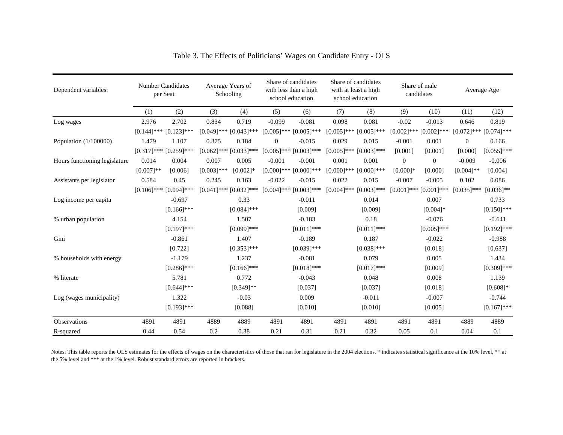| Dependent variables:          |             | <b>Number Candidates</b><br>per Seat |               | Average Years of<br>Schooling |               | Share of candidates<br>with less than a high<br>school education |               | Share of candidates<br>with at least a high<br>school education |                | Share of male<br>candidates | Average Age                 |               |
|-------------------------------|-------------|--------------------------------------|---------------|-------------------------------|---------------|------------------------------------------------------------------|---------------|-----------------------------------------------------------------|----------------|-----------------------------|-----------------------------|---------------|
|                               | (1)         | (2)                                  | (3)           | (4)                           | (5)           | (6)                                                              | (7)           | (8)                                                             | (9)            | (10)                        | (11)                        | (12)          |
| Log wages                     | 2.976       | 2.702                                | 0.834         | 0.719                         | $-0.099$      | $-0.081$                                                         | 0.098         | 0.081                                                           | $-0.02$        | $-0.013$                    | 0.646                       | 0.819         |
|                               |             | $[0.144]$ *** $[0.123]$ ***          |               | $[0.049]$ *** $[0.043]$ ***   |               | $[0.005]$ *** $[0.005]$ ***                                      | $[0.005]$ *** | $[0.005]$ ***                                                   |                | $[0.002]$ *** $[0.002]$ *** | $[0.072]$ *** $[0.074]$ *** |               |
| Population (1/100000)         | 1.479       | 1.107                                | 0.375         | 0.184                         | $\mathbf{0}$  | $-0.015$                                                         | 0.029         | 0.015                                                           | $-0.001$       | 0.001                       | $\overline{0}$              | 0.166         |
|                               |             | $[0.317]$ *** $[0.259]$ ***          | $[0.062]$ *** | $[0.033]$ ***                 | $[0.005]$ *** | $[0.003]$ ***                                                    | $[0.005]$ *** | $[0.003]$ ***                                                   | [0.001]        | [0.001]                     | [0.000]                     | $[0.055]$ *** |
| Hours functioning legislature | 0.014       | 0.004                                | 0.007         | 0.005                         | $-0.001$      | $-0.001$                                                         | 0.001         | 0.001                                                           | $\overline{0}$ | $\overline{0}$              | $-0.009$                    | $-0.006$      |
|                               | $[0.007]**$ | [0.006]                              | $[0.003]$ *** | $[0.002]$ *                   | $[0.000]$ *** | $[0.000]$ ***                                                    | $[0.000]$ *** | $[0.000]$ ***                                                   | $[0.000]$ *    | [0.000]                     | $[0.004]$ **                | [0.004]       |
| Assistants per legislator     | 0.584       | 0.45                                 | 0.245         | 0.163                         | $-0.022$      | $-0.015$                                                         | 0.022         | 0.015                                                           | $-0.007$       | $-0.005$                    | 0.102                       | 0.086         |
|                               |             | $[0.106]$ *** $[0.094]$ ***          |               | $[0.041]$ *** $[0.032]$ ***   |               | $[0.004]$ *** $[0.003]$ ***                                      | $[0.004]$ *** | $[0.003]$ ***                                                   |                | $[0.001]$ *** $[0.001]$ *** | $[0.035]$ ***               | $[0.036]$ **  |
| Log income per capita         |             | $-0.697$                             |               | 0.33                          |               | $-0.011$                                                         |               | 0.014                                                           |                | 0.007                       |                             | 0.733         |
|                               |             | $[0.166]$ ***                        |               | $[0.084]$ ***                 |               | [0.009]                                                          |               | [0.009]                                                         |                | $[0.004]*$                  |                             | $[0.150]$ *** |
| % urban population            |             | 4.154                                |               | 1.507                         |               | $-0.183$                                                         |               | 0.18                                                            |                | $-0.076$                    |                             | $-0.641$      |
|                               |             | $[0.197]$ ***                        |               | $[0.099]$ ***                 |               | $[0.011]$ ***                                                    |               | $[0.011]$ ***                                                   |                | $[0.005]$ ***               |                             | $[0.192]$ *** |
| Gini                          |             | $-0.861$                             |               | 1.407                         |               | $-0.189$                                                         |               | 0.187                                                           |                | $-0.022$                    |                             | $-0.988$      |
|                               |             | [0.722]                              |               | $[0.353]$ ***                 |               | $[0.039]$ ***                                                    |               | $[0.038]$ ***                                                   |                | [0.018]                     |                             | [0.637]       |
| % households with energy      |             | $-1.179$                             |               | 1.237                         |               | $-0.081$                                                         |               | 0.079                                                           |                | 0.005                       |                             | 1.434         |
|                               |             | $[0.286]$ ***                        |               | $[0.166]$ ***                 |               | $[0.018]$ ***                                                    |               | $[0.017]***$                                                    |                | [0.009]                     |                             | $[0.309]$ *** |
| % literate                    |             | 5.781                                |               | 0.772                         |               | $-0.043$                                                         |               | 0.048                                                           |                | 0.008                       |                             | 1.139         |
|                               |             | $[0.644]$ ***                        |               | $[0.349]$ **                  |               | [0.037]                                                          |               | [0.037]                                                         |                | [0.018]                     |                             | $[0.608]*$    |
| Log (wages municipality)      |             | 1.322                                |               | $-0.03$                       |               | 0.009                                                            |               | $-0.011$                                                        |                | $-0.007$                    |                             | $-0.744$      |
|                               |             | $[0.193]$ ***                        |               | [0.088]                       |               | [0.010]                                                          |               | [0.010]                                                         |                | [0.005]                     |                             | $[0.167]$ *** |
| <b>Observations</b>           | 4891        | 4891                                 | 4889          | 4889                          | 4891          | 4891                                                             | 4891          | 4891                                                            | 4891           | 4891                        | 4889                        | 4889          |
| R-squared                     | 0.44        | 0.54                                 | 0.2           | 0.38                          | 0.21          | 0.31                                                             | 0.21          | 0.32                                                            | 0.05           | 0.1                         | 0.04                        | 0.1           |

Table 3. The Effects of Politicians' Wages on Candidate Entry - OLS

Notes: This table reports the OLS estimates for the effects of wages on the characteristics of those that ran for legislature in the 2004 elections. \* indicates statistical significance at the 10% level, \*\* at the 5% level and \*\*\* at the 1% level. Robust standard errors are reported in brackets.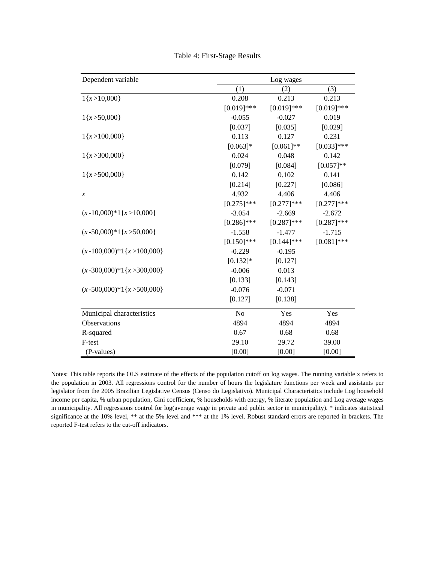| Dependent variable                |               | Log wages     |               |
|-----------------------------------|---------------|---------------|---------------|
|                                   | (1)           | (2)           | (3)           |
| $1\{x>10,000\}$                   | 0.208         | 0.213         | 0.213         |
|                                   | $[0.019]$ *** | $[0.019]$ *** | $[0.019]$ *** |
| $1\{x\text{ > }50,000\}$          | $-0.055$      | $-0.027$      | 0.019         |
|                                   | [0.037]       | [0.035]       | [0.029]       |
| $1\{x>100,000\}$                  | 0.113         | 0.127         | 0.231         |
|                                   | $[0.063]*$    | $[0.061]$ **  | $[0.033]$ *** |
| $1\{x > 300,000\}$                | 0.024         | 0.048         | 0.142         |
|                                   | [0.079]       | [0.084]       | $[0.057]**$   |
| $1\{x\text{ >}500,000\}$          | 0.142         | 0.102         | 0.141         |
|                                   | [0.214]       | [0.227]       | [0.086]       |
| $\boldsymbol{\mathcal{X}}$        | 4.932         | 4.406         | 4.406         |
|                                   | $[0.275]$ *** | $[0.277]$ *** | $[0.277]$ *** |
| $(x - 10,000)^*1\{x > 10,000\}$   | $-3.054$      | $-2.669$      | $-2.672$      |
|                                   | $[0.286]$ *** | $[0.287]$ *** | $[0.287]$ *** |
| $(x - 50,000)^*1\{x > 50,000\}$   | $-1.558$      | $-1.477$      | $-1.715$      |
|                                   | $[0.150]$ *** | $[0.144]$ *** | $[0.081]$ *** |
| $(x - 100,000)^*1\{x > 100,000\}$ | $-0.229$      | $-0.195$      |               |
|                                   | $[0.132]*$    | [0.127]       |               |
| $(x - 300,000)^*1\{x > 300,000\}$ | $-0.006$      | 0.013         |               |
|                                   | [0.133]       | [0.143]       |               |
| $(x - 500,000)^*1\{x > 500,000\}$ | $-0.076$      | $-0.071$      |               |
|                                   | [0.127]       | [0.138]       |               |
| Municipal characteristics         | No            | Yes           | Yes           |
| Observations                      | 4894          | 4894          | 4894          |
| R-squared                         | 0.67          | 0.68          | 0.68          |
| F-test                            | 29.10         | 29.72         | 39.00         |
| (P-values)                        | [0.00]        | [0.00]        | [0.00]        |

Table 4: First-Stage Results

Notes: This table reports the OLS estimate of the effects of the population cutoff on log wages. The running variable x refers to the population in 2003. All regressions control for the number of hours the legislature functions per week and assistants per legislator from the 2005 Brazilian Legislative Census (Censo do Legislativo). Municipal Characteristics include Log household income per capita, % urban population, Gini coefficient, % households with energy, % literate population and Log average wages in municipality. All regressions control for log(average wage in private and public sector in municipality). \* indicates statistical significance at the 10% level, \*\* at the 5% level and \*\*\* at the 1% level. Robust standard errors are reported in brackets. The reported F-test refers to the cut-off indicators.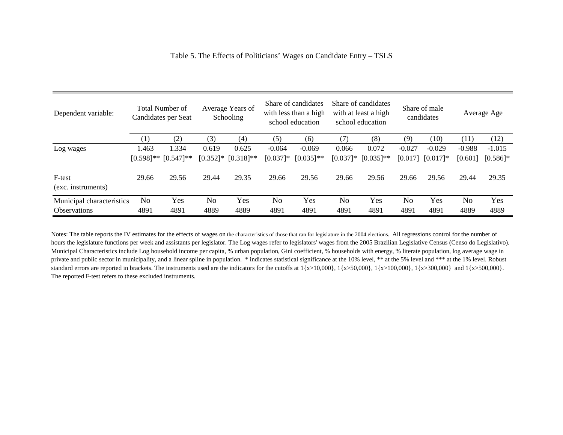| Table 5. The Effects of Politicians' Wages on Candidate Entry – TSLS |  |
|----------------------------------------------------------------------|--|
|                                                                      |  |

| Dependent variable:          | <b>Total Number of</b><br>Candidates per Seat |                           | Average Years of<br>Schooling |              | Share of candidates<br>with less than a high<br>school education |              | Share of candidates<br>with at least a high<br>school education |              | Share of male<br>candidates |            | Average Age |             |
|------------------------------|-----------------------------------------------|---------------------------|-------------------------------|--------------|------------------------------------------------------------------|--------------|-----------------------------------------------------------------|--------------|-----------------------------|------------|-------------|-------------|
|                              | (1)                                           | (2)                       | (3)                           | (4)          | (5)                                                              | (6)          |                                                                 | (8)          | (9)                         | (10)       | (11)        | (12)        |
| Log wages                    | 1.463                                         | 1.334                     | 0.619                         | 0.625        | $-0.064$                                                         | $-0.069$     | 0.066                                                           | 0.072        | $-0.027$                    | $-0.029$   | $-0.988$    | $-1.015$    |
|                              |                                               | $[0.598]$ ** $[0.547]$ ** | $[0.352]$ *                   | $[0.318]$ ** | $[0.037]$ *                                                      | $[0.035]$ ** | $[0.037]$ *                                                     | $[0.035]$ ** | [0.017]                     | $[0.017]*$ | [0.601]     | $[0.586]$ * |
| F-test<br>(exc. instruments) | 29.66                                         | 29.56                     | 29.44                         | 29.35        | 29.66                                                            | 29.56        | 29.66                                                           | 29.56        | 29.66                       | 29.56      | 29.44       | 29.35       |
| Municipal characteristics    | N <sub>o</sub>                                | Yes                       | No                            | Yes          | No                                                               | Yes          | N <sub>o</sub>                                                  | Yes          | No                          | Yes        | No          | Yes         |
| <b>Observations</b>          | 4891                                          | 4891                      | 4889                          | 4889         | 4891                                                             | 4891         | 4891                                                            | 4891         | 4891                        | 4891       | 4889        | 4889        |

Notes: The table reports the IV estimates for the effects of wages on the characteristics of those that ran for legislature in the 2004 elections. All regressions control for the number of hours the legislature functions per week and assistants per legislator. The Log wages refer to legislators' wages from the 2005 Brazilian Legislative Census (Censo do Legislativo). Municipal Characteristics include Log household income per capita, % urban population, Gini coefficient, % households with energy, % literate population, log average wage in private and public sector in municipality, and a linear spline in population. \* indicates statistical significance at the 10% level, \*\* at the 5% level and \*\*\* at the 1% level. Robust standard errors are reported in brackets. The instruments used are the indicators for the cutoffs at  $1\{x>10,000\}$ ,  $1\{x>50,000\}$ ,  $1\{x>100,000\}$ ,  $1\{x>300,000\}$  and  $1\{x>500,000\}$ . The reported F-test refers to these excluded instruments.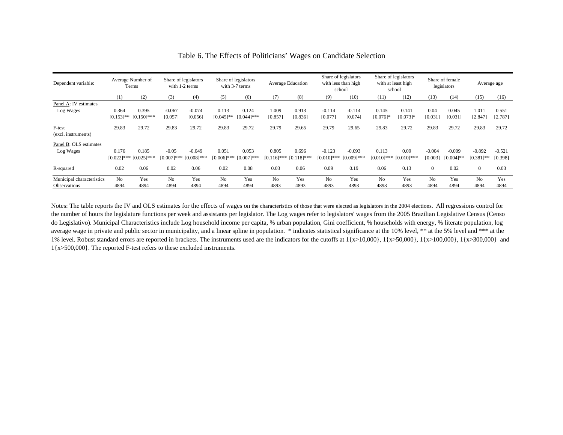| Dependent variable:       |                | Average Number of<br>Terms |                | Share of legislators<br>with 1-2 terms |                | Share of legislators<br>with 3-7 terms |                | <b>Average Education</b> |                | Share of legislators<br>with less than high<br>school |                | Share of legislators<br>with at least high<br>school |                | Share of female<br>legislators | Average age    |          |
|---------------------------|----------------|----------------------------|----------------|----------------------------------------|----------------|----------------------------------------|----------------|--------------------------|----------------|-------------------------------------------------------|----------------|------------------------------------------------------|----------------|--------------------------------|----------------|----------|
|                           | (1)            | (2)                        | (3)            | (4)                                    | (5)            | (6)                                    | (7)            | (8)                      | (9)            | (10)                                                  | (11)           | (12)                                                 | (13)           | (14)                           | (15)           | (16)     |
| Panel A: IV estimates     |                |                            |                |                                        |                |                                        |                |                          |                |                                                       |                |                                                      |                |                                |                |          |
| Log Wages                 | 0.364          | 0.395                      | $-0.067$       | $-0.074$                               | 0.113          | 0.124                                  | 1.009          | 0.913                    | $-0.114$       | $-0.114$                                              | 0.145          | 0.141                                                | 0.04           | 0.045                          | 1.011          | 0.551    |
|                           | $[0.153]$ **   | $[0.150]$ ***              | [0.057]        | [0.056]                                | $[0.045]$ **   | $[0.044]$ ***                          | [0.857]        | [0.836]                  | [0.077]        | [0.074]                                               | $[0.076]$ *    | $[0.073]*$                                           | [0.031]        | [0.031]                        | [2.847]        | [2.787]  |
| F-test                    | 29.83          | 29.72                      | 29.83          | 29.72                                  | 29.83          | 29.72                                  | 29.79          | 29.65                    | 29.79          | 29.65                                                 | 29.83          | 29.72                                                | 29.83          | 29.72                          | 29.83          | 29.72    |
| (excl. instruments)       |                |                            |                |                                        |                |                                        |                |                          |                |                                                       |                |                                                      |                |                                |                |          |
| Panel B: OLS estimates    |                |                            |                |                                        |                |                                        |                |                          |                |                                                       |                |                                                      |                |                                |                |          |
| Log Wages                 | 0.176          | 0.185                      | $-0.05$        | $-0.049$                               | 0.051          | 0.053                                  | 0.805          | 0.696                    | $-0.123$       | $-0.093$                                              | 0.113          | 0.09                                                 | $-0.004$       | $-0.009$                       | $-0.892$       | $-0.521$ |
|                           | $[0.022]$ ***  | $[0.025]$ ***              |                | $[0.007]***$ $[0.008]***$              | $[0.006]$ ***  | $[0.007]***$                           | $[0.116]$ ***  | $[0.118]$ ***            | $[0.010]$ ***  | $[0.009]$ ***                                         | $[0.010]$ ***  | $[0.010]$ ***                                        | [0.003]        | $[0.004]$ **                   | $[0.381]$ **   | [0.398]  |
| R-squared                 | 0.02           | 0.06                       | 0.02           | 0.06                                   | 0.02           | 0.08                                   | 0.03           | 0.06                     | 0.09           | 0.19                                                  | 0.06           | 0.13                                                 | $\overline{0}$ | 0.02                           | $\Omega$       | 0.03     |
| Municipal characteristics | N <sub>0</sub> | Yes                        | N <sub>0</sub> | Yes                                    | N <sub>0</sub> | Yes                                    | N <sub>o</sub> | Yes                      | N <sub>0</sub> | Yes                                                   | N <sub>o</sub> | Yes                                                  | N <sub>0</sub> | Yes                            | N <sub>0</sub> | Yes      |
| <b>Observations</b>       | 4894           | 4894                       | 4894           | 4894                                   | 4894           | 4894                                   | 4893           | 4893                     | 4893           | 4893                                                  | 4893           | 4893                                                 | 4894           | 4894                           | 4894           | 4894     |

#### Table 6. The Effects of Politicians' Wages on Candidate Selection

Notes: The table reports the IV and OLS estimates for the effects of wages on the characteristics of those that were elected as legislators in the 2004 elections. All regressions control for the number of hours the legislature functions per week and assistants per legislator. The Log wages refer to legislators' wages from the 2005 Brazilian Legislative Census (Censo do Legislativo). Municipal Characteristics include Log household income per capita, % urban population, Gini coefficient, % households with energy, % literate population, log average wage in private and public sector in municipality, and a linear spline in population. \* indicates statistical significance at the 10% level, \*\* at the 5% level and \*\*\* at the 1% level. Robust standard errors are reported in brackets. The instruments used are the indicators for the cutoffs at  $1\{x>10,000\}$ ,  $1\{x>50,000\}$ ,  $1\{x>100,000\}$ ,  $1\{x>300,000\}$  and 1{x>500,000}. The reported F-test refers to these excluded instruments.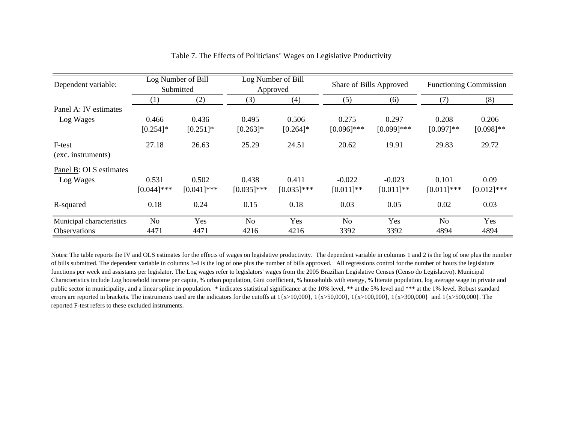| Dependent variable:          |                | Log Number of Bill<br>Submitted |               | Log Number of Bill<br>Approved |               | Share of Bills Approved |                | <b>Functioning Commission</b> |
|------------------------------|----------------|---------------------------------|---------------|--------------------------------|---------------|-------------------------|----------------|-------------------------------|
|                              | (1)            | (2)                             | (3)           | (4)                            | (5)           | (6)                     | (7)            | (8)                           |
| Panel A: IV estimates        |                |                                 |               |                                |               |                         |                |                               |
| Log Wages                    | 0.466          | 0.436                           | 0.495         | 0.506                          | 0.275         | 0.297                   | 0.208          | 0.206                         |
|                              | $[0.254]$ *    | $[0.251]$ *                     | $[0.263]$ *   | $[0.264]$ *                    | $[0.096]$ *** | $[0.099]$ ***           | $[0.097]**$    | $[0.098]$ **                  |
| F-test<br>(exc. instruments) | 27.18          | 26.63                           | 25.29         | 24.51                          | 20.62         | 19.91                   | 29.83          | 29.72                         |
| Panel B: OLS estimates       |                |                                 |               |                                |               |                         |                |                               |
| Log Wages                    | 0.531          | 0.502                           | 0.438         | 0.411                          | $-0.022$      | $-0.023$                | 0.101          | 0.09                          |
|                              | $[0.044]$ ***  | $[0.041]$ ***                   | $[0.035]$ *** | $[0.035]$ ***                  | $[0.011]**$   | $[0.011]$ **            | $[0.011]$ ***  | $[0.012]$ ***                 |
| R-squared                    | 0.18           | 0.24                            | 0.15          | 0.18                           | 0.03          | 0.05                    | 0.02           | 0.03                          |
| Municipal characteristics    | N <sub>o</sub> | Yes                             | No            | Yes                            | No            | Yes                     | N <sub>o</sub> | Yes                           |
| <b>Observations</b>          | 4471           | 4471                            | 4216          | 4216                           | 3392          | 3392                    | 4894           | 4894                          |

#### Table 7. The Effects of Politicians' Wages on Legislative Productivity

Notes: The table reports the IV and OLS estimates for the effects of wages on legislative productivity. The dependent variable in columns 1 and 2 is the log of one plus the number of bills submitted. The dependent variable in columns 3-4 is the log of one plus the number of bills approved. All regressions control for the number of hours the legislature functions per week and assistants per legislator. The Log wages refer to legislators' wages from the 2005 Brazilian Legislative Census (Censo do Legislativo). Municipal Characteristics include Log household income per capita, % urban population, Gini coefficient, % households with energy, % literate population, log average wage in private and public sector in municipality, and a linear spline in population. \* indicates statistical significance at the 10% level, \*\* at the 5% level and \*\*\* at the 1% level. Robust standard errors are reported in brackets. The instruments used are the indicators for the cutoffs at  $1\{x>10,000\}$ ,  $1\{x>50,000\}$ ,  $1\{x>100,000\}$ ,  $1\{x>300,000\}$  and  $1\{x>500,000\}$ . The reported F-test refers to these excluded instruments.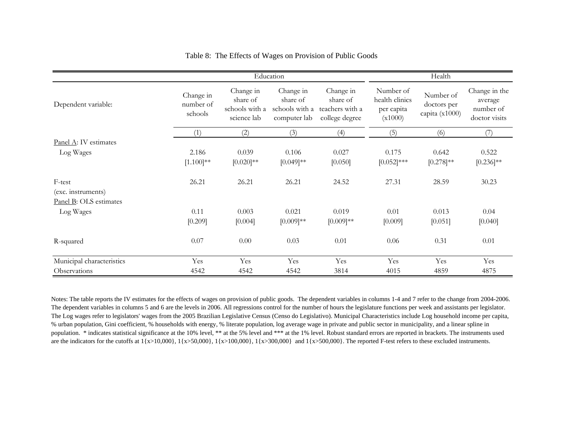|                           |                                   |                                                        | Education                                               |                                                            |                                                      | Health                                     |                                                        |
|---------------------------|-----------------------------------|--------------------------------------------------------|---------------------------------------------------------|------------------------------------------------------------|------------------------------------------------------|--------------------------------------------|--------------------------------------------------------|
| Dependent variable:       | Change in<br>number of<br>schools | Change in<br>share of<br>schools with a<br>science lab | Change in<br>share of<br>schools with a<br>computer lab | Change in<br>share of<br>teachers with a<br>college degree | Number of<br>health clinics<br>per capita<br>(x1000) | Number of<br>doctors per<br>capita (x1000) | Change in the<br>average<br>number of<br>doctor visits |
|                           | (1)                               | (2)                                                    | (3)                                                     | (4)                                                        | (5)                                                  | (6)                                        | (7)                                                    |
| Panel A: IV estimates     |                                   |                                                        |                                                         |                                                            |                                                      |                                            |                                                        |
| Log Wages                 | 2.186                             | 0.039                                                  | 0.106                                                   | 0.027                                                      | 0.175                                                | 0.642                                      | 0.522                                                  |
|                           | $[1.100]^{**}$                    | $[0.020]^{**}$                                         | $[0.049]$ **                                            | [0.050]                                                    | $[0.052]$ ***                                        | $[0.278]^{**}$                             | $[0.236]^{**}$                                         |
| F-test                    | 26.21                             | 26.21                                                  | 26.21                                                   | 24.52                                                      | 27.31                                                | 28.59                                      | 30.23                                                  |
| (exc. instruments)        |                                   |                                                        |                                                         |                                                            |                                                      |                                            |                                                        |
| Panel B: OLS estimates    |                                   |                                                        |                                                         |                                                            |                                                      |                                            |                                                        |
| Log Wages                 | 0.11                              | 0.003                                                  | 0.021                                                   | 0.019                                                      | 0.01                                                 | 0.013                                      | 0.04                                                   |
|                           | [0.209]                           | [0.004]                                                | $[0.009]$ **                                            | $[0.009]$ **                                               | [0.009]                                              | [0.051]                                    | [0.040]                                                |
| R-squared                 | 0.07                              | 0.00                                                   | 0.03                                                    | 0.01                                                       | 0.06                                                 | 0.31                                       | 0.01                                                   |
| Municipal characteristics | Yes                               | Yes                                                    | Yes                                                     | Yes                                                        | Yes                                                  | Yes                                        | Yes                                                    |
| Observations              | 4542                              | 4542                                                   | 4542                                                    | 3814                                                       | 4015                                                 | 4859                                       | 4875                                                   |

#### Table 8: The Effects of Wages on Provision of Public Goods

Notes: The table reports the IV estimates for the effects of wages on provision of public goods. The dependent variables in columns 1-4 and 7 refer to the change from 2004-2006. The dependent variables in columns 5 and 6 are the levels in 2006. All regressions control for the number of hours the legislature functions per week and assistants per legislator. The Log wages refer to legislators' wages from the 2005 Brazilian Legislative Census (Censo do Legislativo). Municipal Characteristics include Log household income per capita, % urban population, Gini coefficient, % households with energy, % literate population, log average wage in private and public sector in municipality, and a linear spline in population. \* indicates statistical significance at the 10% level, \*\* at the 5% level and \*\*\* at the 1% level. Robust standard errors are reported in brackets. The instruments used are the indicators for the cutoffs at  $1\{x>10,000\}$ ,  $1\{x>50,000\}$ ,  $1\{x>100,000\}$ ,  $1\{x>300,000\}$  and  $1\{x>500,000\}$ . The reported F-test refers to these excluded instruments.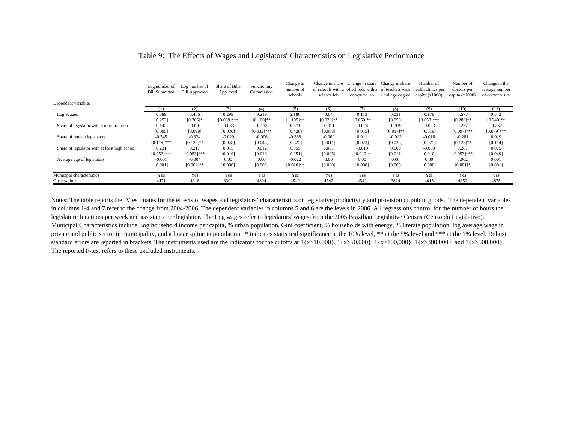|                                               | Log number of<br><b>Bill Submitted</b> | Log number of<br><b>Bill Approved</b> | Share of Bills<br>Approved | Functioning<br>Commission | Change in<br>number of<br>schools | science lab  | Change in share Change in share Change in share<br>of schools with a of schools with a of teachers with health clinics per<br>computer lab | a college degree | Number of<br>capita $(x1000)$ | Number of<br>doctors per<br>capita $(x1000)$ | Change in the<br>average number<br>of doctor visits |
|-----------------------------------------------|----------------------------------------|---------------------------------------|----------------------------|---------------------------|-----------------------------------|--------------|--------------------------------------------------------------------------------------------------------------------------------------------|------------------|-------------------------------|----------------------------------------------|-----------------------------------------------------|
| Dependent variable:                           |                                        |                                       |                            |                           |                                   |              |                                                                                                                                            |                  |                               |                                              |                                                     |
|                                               |                                        | (2)                                   | (3)                        | (4)                       | (5)                               | (6)          | (7)                                                                                                                                        | (8)              | (9)                           | (10)                                         | (11)                                                |
| Log Wages                                     | 0.389                                  | 0.466                                 | 0.299                      | 0.219                     | 2.186                             | 0.04         | 0.113                                                                                                                                      | 0.031            | 0.179                         | 0.573                                        | 0.542                                               |
|                                               | [0.253]                                | $[0.266]$ *                           | $[0.099]$ ***              | $[0.100]$ **              | $[1.105]$ **                      | $[0.020]$ ** | $[0.050]$ **                                                                                                                               | [0.050]          | $[0.053]$ ***                 | $[0.280]$ **                                 | $[0.240]$ **                                        |
| Share of legislator with 3 or more terms      | 0.142                                  | 0.09                                  | $-0.033$                   | $-0.113$                  | 0.571                             | $-0.011$     | $-0.024$                                                                                                                                   | $-0.039$         | $-0.023$                      | 0.257                                        | $-0.262$                                            |
|                                               | [0.095]                                | [0.098]                               | [0.030]                    | $[0.032]***$              | [0.428]                           | [0.008]      | [0.015]                                                                                                                                    | $[0.017]**$      | [0.019]                       | $[0.097]$ ***                                | $[0.079]$ ***                                       |
| Share of female legislators                   | $-0.345$                               | $-0.334$                              | $-0.029$                   | $-0.006$                  | $-0.389$                          | $-0.009$     | 0.011                                                                                                                                      | $-0.012$         | $-0.018$                      | $-0.281$                                     | 0.019                                               |
|                                               | $[0.119]$ ***                          | $[0.132]$ **                          | [0.048]                    | [0.044]                   | [0.525]                           | [0.011]      | [0.023]                                                                                                                                    | [0.025]          | [0.025]                       | $[0.123]$ **                                 | [0.114]                                             |
| Share of legislator with at least high school | 0.231                                  | 0.217                                 | 0.015                      | 0.012                     | 0.059                             | 0.001        | $-0.019$                                                                                                                                   | 0.006            | $-0.003$                      | 0.287                                        | 0.075                                               |
|                                               | $[0.053]$ ***                          | $[0.053]$ ***                         | [0.019]                    | [0.019]                   | [0.251]                           | [0.005]      | $[0.010]$ *                                                                                                                                | [0.011]          | [0.010]                       | $[0.053]$ ***                                | [0.049]                                             |
| Average age of legislators                    | $-0.001$                               | $-0.004$                              | 0.00                       | 0.00                      | $-0.022$                          | 0.00         | 0.00                                                                                                                                       | 0.00             | 0.00                          | 0.002                                        | 0.001                                               |
|                                               | [0.001]                                | $[0.002]$ **                          | [0.000]                    | [0.000]                   | $[0.010]$ **                      | [0.000]      | [0.000]                                                                                                                                    | [0.000]          | [0.000]                       | $[0.001]$ *                                  | [0.001]                                             |
| Municipal characteristics                     | Yes                                    | Yes                                   | Yes                        | Yes                       | Yes                               | Yes          | Yes                                                                                                                                        | Yes              | Yes                           | Yes                                          | Yes                                                 |
| <b>Observations</b>                           | 4471                                   | 4216                                  | 3392                       | 4894                      | 4542                              | 4542         | 4542                                                                                                                                       | 3814             | 4015                          | 4859                                         | 4875                                                |

#### Table 9: The Effects of Wages and Legislators' Characteristics on Legislative Performance

Notes: The table reports the IV estimates for the effects of wages and legislators' characteristics on legislative productivity and provision of public goods. The dependent variables in columns 1-4 and 7 refer to the change from 2004-2006. The dependent variables in columns 5 and 6 are the levels in 2006. All regressions control for the number of hours the legislature functions per week and assistants per legislator. The Log wages refer to legislators' wages from the 2005 Brazilian Legislative Census (Censo do Legislativo). Municipal Characteristics include Log household income per capita, % urban population, Gini coefficient, % households with energy, % literate population, log average wage in private and public sector in municipality, and a linear spline in population. \* indicates statistical significance at the 10% level, \*\* at the 5% level and \*\*\* at the 1% level. Robust standard errors are reported in brackets. The instruments used are the indicators for the cutoffs at  $1\{x>10,000\}$ ,  $1\{x>50,000\}$ ,  $1\{x>100,000\}$ ,  $1\{x>300,000\}$  and  $1\{x>500,000\}$ . The reported F-test refers to these excluded instruments.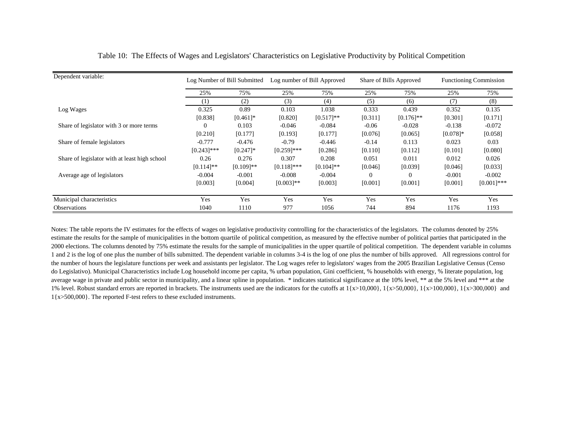| Dependent variable:                           |               | Log Number of Bill Submitted | Log number of Bill Approved |              |          | Share of Bills Approved |             | <b>Functioning Commission</b> |
|-----------------------------------------------|---------------|------------------------------|-----------------------------|--------------|----------|-------------------------|-------------|-------------------------------|
|                                               | 25%           | 75%                          | 25%                         | 75%          | 25%      | 75%                     | 25%         | 75%                           |
|                                               | (1)           | (2)                          | (3)                         | (4)          | (5)      | (6)                     | (7)         | (8)                           |
| Log Wages                                     | 0.325         | 0.89                         | 0.103                       | 1.038        | 0.333    | 0.439                   | 0.352       | 0.135                         |
|                                               | [0.838]       | $[0.461]$ *                  | [0.820]                     | $[0.517]**$  | [0.311]  | $[0.176]$ **            | [0.301]     | [0.171]                       |
| Share of legislator with 3 or more terms      | $\Omega$      | 0.103                        | $-0.046$                    | $-0.084$     | $-0.06$  | $-0.028$                | $-0.138$    | $-0.072$                      |
|                                               | [0.210]       | [0.177]                      | [0.193]                     | [0.177]      | [0.076]  | [0.065]                 | $[0.078]$ * | [0.058]                       |
| Share of female legislators                   | $-0.777$      | $-0.476$                     | $-0.79$                     | $-0.446$     | $-0.14$  | 0.113                   | 0.023       | 0.03                          |
|                                               | $[0.243]$ *** | $[0.247]$ *                  | $[0.259]$ ***               | [0.286]      | [0.110]  | [0.112]                 | [0.101]     | [0.080]                       |
| Share of legislator with at least high school | 0.26          | 0.276                        | 0.307                       | 0.208        | 0.051    | 0.011                   | 0.012       | 0.026                         |
|                                               | $[0.114]$ **  | $[0.109]$ **                 | $[0.118]$ ***               | $[0.104]$ ** | [0.046]  | [0.039]                 | [0.046]     | [0.033]                       |
| Average age of legislators                    | $-0.004$      | $-0.001$                     | $-0.008$                    | $-0.004$     | $\theta$ | $\Omega$                | $-0.001$    | $-0.002$                      |
|                                               | [0.003]       | [0.004]                      | $[0.003]**$                 | [0.003]      | [0.001]  | [0.001]                 | [0.001]     | $[0.001]***$                  |
| Municipal characteristics                     | Yes           | Yes                          | Yes                         | Yes          | Yes      | Yes                     | Yes         | Yes                           |
| Observations                                  | 1040          | 1110                         | 977                         | 1056         | 744      | 894                     | 1176        | 1193                          |

Table 10: The Effects of Wages and Legislators' Characteristics on Legislative Productivity by Political Competition

Notes: The table reports the IV estimates for the effects of wages on legislative productivity controlling for the characteristics of the legislators. The columns denoted by 25% estimate the results for the sample of municipalities in the bottom quartile of political competition, as measured by the effective number of political parties that participated in the 2000 elections. The columns denoted by 75% estimate the results for the sample of municipalities in the upper quartile of political competition. The dependent variable in columns 1 and 2 is the log of one plus the number of bills submitted. The dependent variable in columns 3-4 is the log of one plus the number of bills approved. All regressions control for the number of hours the legislature functions per week and assistants per legislator. The Log wages refer to legislators' wages from the 2005 Brazilian Legislative Census (Censo do Legislativo). Municipal Characteristics include Log household income per capita, % urban population, Gini coefficient, % households with energy, % literate population, log average wage in private and public sector in municipality, and a linear spline in population. \* indicates statistical significance at the 10% level, \*\* at the 5% level and \*\*\* at the 1% level. Robust standard errors are reported in brackets. The instruments used are the indicators for the cutoffs at  $\{x>10,000\}$ ,  $\{x>50,000\}$ ,  $\{x>100,000\}$ ,  $\{x>300,000\}$  and 1{x>500,000}. The reported F-test refers to these excluded instruments.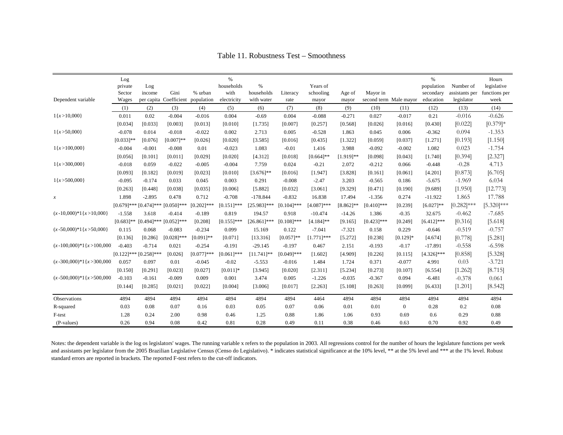|                                 | Log          |                             |                        |               | $\%$          |                |               |               |                |               |                        | $\%$          |                 | Hours         |
|---------------------------------|--------------|-----------------------------|------------------------|---------------|---------------|----------------|---------------|---------------|----------------|---------------|------------------------|---------------|-----------------|---------------|
|                                 | private      | Log                         |                        |               | households    | %              |               | Years of      |                |               |                        | population    | Number of       | legislative   |
|                                 | Sector       | income                      | Gini                   | % urban       | with          | households     | Literacy      | schooling     | Age of         | Mayor in      |                        | secondary     | assistants per  | functions per |
| Dependent variable              | Wages        |                             | per capita Coefficient | population    | electricity   | with water     | rate          | mayor         | mayor          |               | second term Male mayor | education     | legislator      | week          |
|                                 | (1)          | (2)                         | (3)                    | (4)           | (5)           | (6)            | (7)           | (8)           | (9)            | (10)          | (11)                   | (12)          | (13)            | (14)          |
| $1\{x>10,000\}$                 | 0.011        | 0.02                        | $-0.004$               | $-0.016$      | 0.004         | $-0.69$        | 0.004         | $-0.088$      | $-0.271$       | 0.027         | $-0.017$               | 0.21          | $-0.016$        | $-0.626$      |
|                                 | [0.034]      | [0.033]                     | [0.003]                | [0.013]       | [0.010]       | [1.735]        | [0.007]       | [0.257]       | [0.568]        | [0.026]       | [0.016]                | [0.430]       | [0.022]         | $[0.379]*$    |
| $1\{x>50,000\}$                 | $-0.078$     | 0.014                       | $-0.018$               | $-0.022$      | 0.002         | 2.713          | 0.005         | $-0.528$      | 1.863          | 0.045         | 0.006                  | $-0.362$      | 0.094           | $-1.353$      |
|                                 | $[0.033]$ ** | [0.076]                     | $[0.007]**$            | [0.026]       | [0.020]       | [3.585]        | [0.016]       | [0.435]       | [1.322]        | [0.059]       | [0.037]                | [1.271]       | [0.193]         | [1.150]       |
| $1\{x>100,000\}$                | $-0.004$     | $-0.001$                    | $-0.008$               | 0.01          | $-0.023$      | 1.083          | $-0.01$       | 1.416         | 3.988          | $-0.092$      | $-0.002$               | 1.082         | 0.023           | $-1.754$      |
|                                 | [0.056]      | [0.101]                     | [0.011]                | [0.029]       | [0.020]       | [4.312]        | [0.018]       | $[0.664]$ **  | $[1.919]$ **   | [0.098]       | [0.043]                | [1.740]       | [0.394]         | [2.327]       |
| $1\{x>300,000\}$                | $-0.018$     | 0.059                       | $-0.022$               | $-0.005$      | $-0.004$      | 7.759          | 0.024         | $-0.21$       | 2.072          | $-0.212$      | 0.066                  | $-0.448$      | $-0.28$         | 4.713         |
|                                 | [0.093]      | [0.182]                     | [0.019]                | [0.023]       | [0.010]       | $[3.676]$ **   | [0.016]       | [1.947]       | [3.828]        | [0.161]       | [0.061]                | [4.201]       | [0.873]         | [6.705]       |
| $1\{x\geq 500,000\}$            | $-0.095$     | $-0.174$                    | 0.033                  | 0.045         | 0.003         | 0.291          | $-0.008$      | $-2.47$       | 3.203          | $-0.565$      | 0.186                  | $-5.675$      | $-1.969$        | 6.034         |
|                                 | [0.263]      | [0.448]                     | [0.038]                | [0.035]       | [0.006]       | [5.882]        | [0.032]       | [3.061]       | [9.329]        | [0.471]       | [0.190]                | [9.689]       | [1.950]         | [12.773]      |
| $\boldsymbol{x}$                | 1.898        | $-2.895$                    | 0.478                  | 0.712         | $-0.708$      | $-178.844$     | $-0.832$      | 16.838        | 17.494         | $-1.356$      | 0.274                  | $-11.922$     | 1.865           | 17.788        |
|                                 |              | $[0.679]$ *** $[0.474]$ *** | $[0.050]$ ***          | $[0.202]$ *** | $[0.151]$ *** | $[25.983]$ *** | $[0.104]$ *** | $[4.087]$ *** | $[8.862]^{**}$ | $[0.410]$ *** | [0.239]                | $[6.027]**$   | $[0.282]^{***}$ | $[5.320]$ *** |
| $(x-10,000)*1{x>10,000}$        | $-1.558$     | 3.618                       | $-0.414$               | $-0.189$      | 0.819         | 194.57         | 0.918         | $-10.474$     | $-14.26$       | 1.386         | $-0.35$                | 32.675        | $-0.462$        | $-7.685$      |
|                                 | $[0.683]$ ** | $[0.494]$ ***               | $[0.052]$ ***          | [0.208]       | $[0.155]$ *** | $[26.861]$ *** | $[0.108]$ *** | $[4.184]$ **  | [9.165]        | $[0.423]$ *** | [0.249]                | $[6.412]$ *** | [0.316]         | [5.618]       |
| $(x - 50,000)^*1\{x > 50,000\}$ | 0.115        | 0.068                       | $-0.083$               | $-0.234$      | 0.099         | 15.169         | 0.122         | $-7.041$      | $-7.321$       | 0.158         | 0.229                  | $-0.646$      | $-0.519$        | $-0.757$      |
|                                 | [0.136]      | [0.286]                     | $[0.028]$ ***          | $[0.091]$ **  | [0.071]       | [13.316]       | $[0.057]$ **  | $[1.771]$ *** | [5.272]        | [0.238]       | $[0.129]$ *            | [4.674]       | [0.778]         | [5.281]       |
| $(x - 100,000)^*1(x > 100,000)$ | $-0.403$     | $-0.714$                    | 0.021                  | $-0.254$      | $-0.191$      | $-29.145$      | $-0.197$      | 0.467         | 2.151          | $-0.193$      | $-0.17$                | $-17.891$     | $-0.558$        | $-6.598$      |
|                                 |              | $[0.122]$ *** $[0.258]$ *** | [0.026]                | $[0.077]$ *** | $[0.061]$ *** | $[11.741]$ **  | $[0.049]$ *** | [1.602]       | [4.909]        | [0.226]       | [0.115]                | $[4.326]$ *** | [0.858]         | [5.328]       |
| $(x - 300,000)^*1(x > 300,000)$ | 0.057        | 0.097                       | 0.01                   | $-0.045$      | $-0.02$       | $-5.553$       | $-0.016$      | 1.484         | 1.724          | 0.371         | $-0.077$               | 4.991         | 0.03            | $-3.721$      |
|                                 | [0.150]      | [0.291]                     | [0.023]                | [0.027]       | $[0.011]$ *   | [3.945]        | [0.020]       | [2.311]       | [5.234]        | [0.273]       | [0.107]                | [6.554]       | [1.262]         | [8.715]       |
| $(x - 500,000)^*1{x} > 500,000$ | $-0.103$     | $-0.161$                    | $-0.009$               | 0.009         | 0.001         | 3.474          | 0.005         | $-1.226$      | $-0.035$       | $-0.367$      | 0.094                  | $-6.481$      | $-0.378$        | 0.061         |
|                                 | [0.144]      | [0.285]                     | [0.021]                | [0.022]       | [0.004]       | [3.006]        | [0.017]       | [2.263]       | [5.108]        | [0.263]       | [0.099]                | [6.433]       | [1.201]         | [8.542]       |
| Observations                    | 4894         | 4894                        | 4894                   | 4894          | 4894          | 4894           | 4894          | 4464          | 4894           | 4894          | 4894                   | 4894          | 4894            | 4894          |
| R-squared                       | 0.03         | 0.08                        | 0.07                   | 0.16          | 0.03          | 0.05           | 0.07          | 0.06          | 0.01           | 0.01          | $\theta$               | 0.28          | 0.2             | 0.08          |
| F-test                          | 1.28         | 0.24                        | 2.00                   | 0.98          | 0.46          | 1.25           | 0.88          | 1.86          | 1.06           | 0.93          | 0.69                   | 0.6           | 0.29            | 0.88          |
| (P-values)                      | 0.26         | 0.94                        | 0.08                   | 0.42          | 0.81          | 0.28           | 0.49          | 0.11          | 0.38           | 0.46          | 0.63                   | 0.70          | 0.92            | 0.49          |

Table 11. Robustness Test – Smoothness

Notes: the dependent variable is the log os legislators' wages. The running variable x refers to the population in 2003. All regressions control for the number of hours the legislature functions per week and assistants per legislator from the 2005 Brazilian Legislative Census (Censo do Legislativo). \* indicates statistical significance at the 10% level, \*\* at the 5% level and \*\*\* at the 1% level. Robust standard errors are reported in brackets. The reported F-test refers to the cut-off indicators.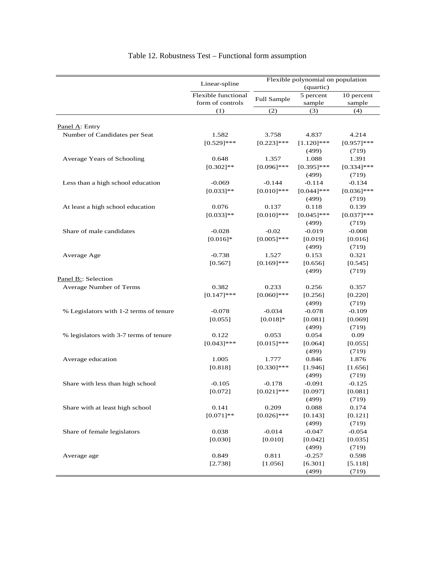|                                                                | Linear-spline                                  | Flexible polynomial on population<br>(quartic) |                            |                             |  |
|----------------------------------------------------------------|------------------------------------------------|------------------------------------------------|----------------------------|-----------------------------|--|
|                                                                | Flexible functional<br>form of controls<br>(1) | Full Sample                                    | 5 percent<br>sample<br>(3) | 10 percent<br>sample<br>(4) |  |
|                                                                |                                                | (2)                                            |                            |                             |  |
|                                                                |                                                |                                                |                            |                             |  |
| Panel A: Entry                                                 |                                                |                                                |                            |                             |  |
| Number of Candidates per Seat                                  | 1.582                                          | 3.758                                          | 4.837                      | 4.214                       |  |
|                                                                | $[0.529]$ ***                                  | $[0.223]$ ***                                  | $[1.120]$ ***              | $[0.957]$ ***               |  |
| Average Years of Schooling                                     |                                                |                                                | (499)                      | (719)                       |  |
|                                                                | 0.648                                          | 1.357                                          | 1.088                      | 1.391                       |  |
|                                                                | $[0.302]$ **                                   | $[0.096]$ ***                                  | $[0.395]$ ***              | $[0.334]$ ***               |  |
| Less than a high school education                              |                                                |                                                | (499)                      | (719)                       |  |
|                                                                | $-0.069$                                       | $-0.144$                                       | $-0.114$                   | $-0.134$                    |  |
|                                                                | $[0.033]$ **                                   | $[0.010]$ ***                                  | $[0.044]$ ***<br>(499)     | $[0.036]$ ***               |  |
| At least a high school education                               |                                                |                                                |                            | (719)                       |  |
|                                                                | 0.076<br>$[0.033]**$                           | 0.137<br>$[0.010]$ ***                         | 0.118<br>$[0.045]$ ***     | 0.139<br>$[0.037]$ ***      |  |
|                                                                |                                                |                                                | (499)                      | (719)                       |  |
| Share of male candidates                                       | $-0.028$                                       | $-0.02$                                        | $-0.019$                   | $-0.008$                    |  |
|                                                                | $[0.016]$ *                                    | $[0.005]$ ***                                  | [0.019]                    | [0.016]                     |  |
|                                                                |                                                |                                                | (499)                      | (719)                       |  |
| Average Age                                                    | $-0.738$                                       | 1.527                                          | 0.153                      | 0.321                       |  |
|                                                                | [0.567]                                        | $[0.169]$ ***                                  | [0.656]                    | [0.545]                     |  |
|                                                                |                                                |                                                | (499)                      | (719)                       |  |
| Panel B:: Selection                                            |                                                |                                                |                            |                             |  |
| Average Number of Terms                                        | 0.382                                          | 0.233                                          | 0.256                      | 0.357                       |  |
|                                                                | $[0.147]$ ***                                  | $[0.060]$ ***                                  | [0.256]                    | [0.220]                     |  |
|                                                                |                                                |                                                | (499)                      | (719)                       |  |
| % Legislators with 1-2 terms of tenure                         | $-0.078$                                       | $-0.034$                                       | $-0.078$                   | $-0.109$                    |  |
|                                                                | [0.055]                                        | $[0.018]$ *                                    | [0.081]                    | [0.069]                     |  |
|                                                                |                                                |                                                | (499)                      | (719)                       |  |
| % legislators with 3-7 terms of tenure                         | 0.122                                          | 0.053                                          | 0.054                      | 0.09                        |  |
|                                                                | $[0.043]$ ***                                  | $[0.015]$ ***                                  | [0.064]                    | [0.055]                     |  |
|                                                                |                                                |                                                | (499)                      | (719)                       |  |
| Average education                                              | 1.005                                          | 1.777                                          | 0.846                      | 1.876                       |  |
|                                                                | [0.818]                                        | $[0.330]$ ***                                  | [1.946]                    | [1.656]                     |  |
|                                                                |                                                |                                                | (499)                      | (719)                       |  |
| Share with less than high school                               | $-0.105$                                       | $-0.178$                                       | $-0.091$                   | $-0.125$                    |  |
|                                                                | [0.072]                                        | $[0.021]$ ***                                  | [0.097]                    | [0.081]                     |  |
|                                                                |                                                |                                                | (499)                      | (719)                       |  |
| Share with at least high school<br>Share of female legislators | 0.141                                          | 0.209                                          | 0.088                      | 0.174                       |  |
|                                                                | $[0.071]$ **                                   | $[0.026]$ ***                                  | [0.143]                    | [0.121]                     |  |
|                                                                |                                                |                                                | (499)                      | (719)                       |  |
|                                                                | 0.038                                          | $-0.014$                                       | $-0.047$                   | $-0.054$                    |  |
|                                                                | [0.030]                                        | [0.010]                                        | [0.042]                    | [0.035]                     |  |
|                                                                |                                                |                                                | (499)                      | (719)                       |  |
| Average age                                                    | 0.849                                          | 0.811                                          | $-0.257$                   | 0.598                       |  |
|                                                                | [2.738]                                        | [1.056]                                        | [6.301]                    | [5.118]                     |  |
|                                                                |                                                |                                                | (499)                      | (719)                       |  |

## Table 12. Robustness Test – Functional form assumption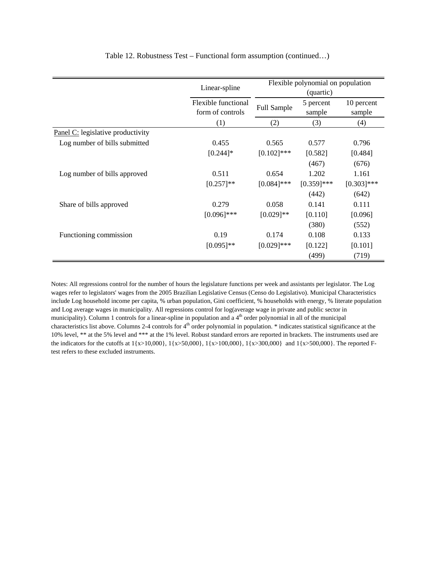|                                   | Linear-spline       | Flexible polynomial on population |               |               |
|-----------------------------------|---------------------|-----------------------------------|---------------|---------------|
|                                   |                     |                                   | (quartic)     |               |
|                                   | Flexible functional | Full Sample                       | 5 percent     | 10 percent    |
|                                   | form of controls    |                                   | sample        | sample        |
|                                   | (1)                 | (2)                               | (3)           | (4)           |
| Panel C: legislative productivity |                     |                                   |               |               |
| Log number of bills submitted     | 0.455               | 0.565                             | 0.577         | 0.796         |
|                                   | $[0.244]$ *         | $[0.102]$ ***                     | [0.582]       | [0.484]       |
|                                   |                     |                                   | (467)         | (676)         |
| Log number of bills approved      | 0.511               | 0.654                             | 1.202         | 1.161         |
|                                   | $[0.257]**$         | $[0.084]$ ***                     | $[0.359]$ *** | $[0.303]$ *** |
|                                   |                     |                                   | (442)         | (642)         |
| Share of bills approved           | 0.279               | 0.058                             | 0.141         | 0.111         |
|                                   | $[0.096]$ ***       | $[0.029]$ **                      | [0.110]       | [0.096]       |
|                                   |                     |                                   | (380)         | (552)         |
| Functioning commission            | 0.19                | 0.174                             | 0.108         | 0.133         |
|                                   | $[0.095]$ **        | $[0.029]$ ***                     | [0.122]       | [0.101]       |
|                                   |                     |                                   | (499)         | (719)         |

Table 12. Robustness Test – Functional form assumption (continued…)

Notes: All regressions control for the number of hours the legislature functions per week and assistants per legislator. The Log wages refer to legislators' wages from the 2005 Brazilian Legislative Census (Censo do Legislativo). Municipal Characteristics include Log household income per capita, % urban population, Gini coefficient, % households with energy, % literate population and Log average wages in municipality. All regressions control for log(average wage in private and public sector in municipality). Column 1 controls for a linear-spline in population and a 4<sup>th</sup> order polynomial in all of the municipal characteristics list above. Columns 2-4 controls for  $4<sup>th</sup>$  order polynomial in population.  $*$  indicates statistical significance at the 10% level, \*\* at the 5% level and \*\*\* at the 1% level. Robust standard errors are reported in brackets. The instruments used are the indicators for the cutoffs at 1{x>10,000}, 1{x>50,000}, 1{x>100,000}, 1{x>300,000} and 1{x>500,000}. The reported Ftest refers to these excluded instruments.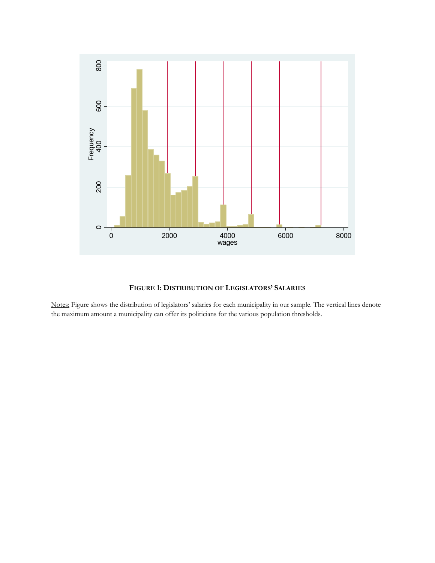

#### **FIGURE 1: DISTRIBUTION OF LEGISLATORS' SALARIES**

Notes: Figure shows the distribution of legislators' salaries for each municipality in our sample. The vertical lines denote the maximum amount a municipality can offer its politicians for the various population thresholds.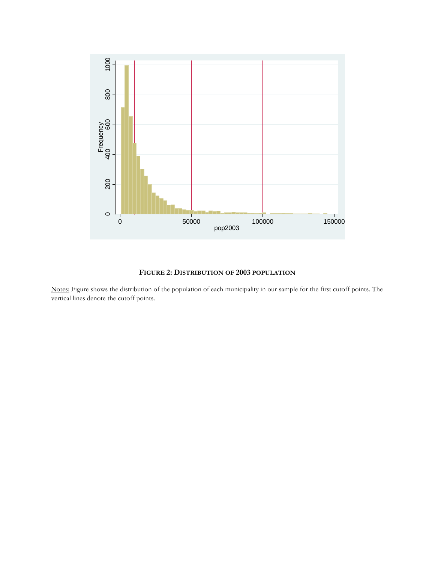

#### **FIGURE 2: DISTRIBUTION OF 2003 POPULATION**

Notes: Figure shows the distribution of the population of each municipality in our sample for the first cutoff points. The vertical lines denote the cutoff points.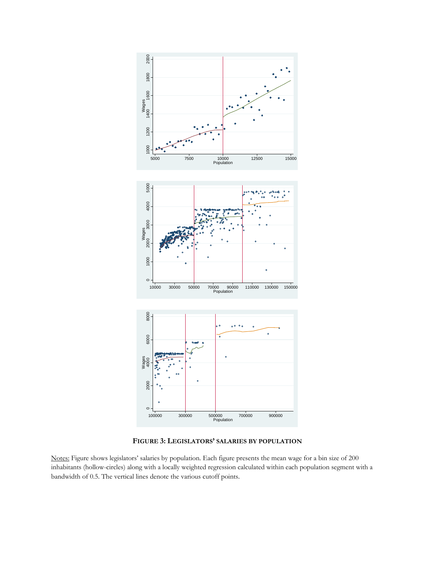

**FIGURE 3: LEGISLATORS' SALARIES BY POPULATION**

Notes: Figure shows legislators' salaries by population. Each figure presents the mean wage for a bin size of 200 inhabitants (hollow-circles) along with a locally weighted regression calculated within each population segment with a bandwidth of 0.5. The vertical lines denote the various cutoff points.